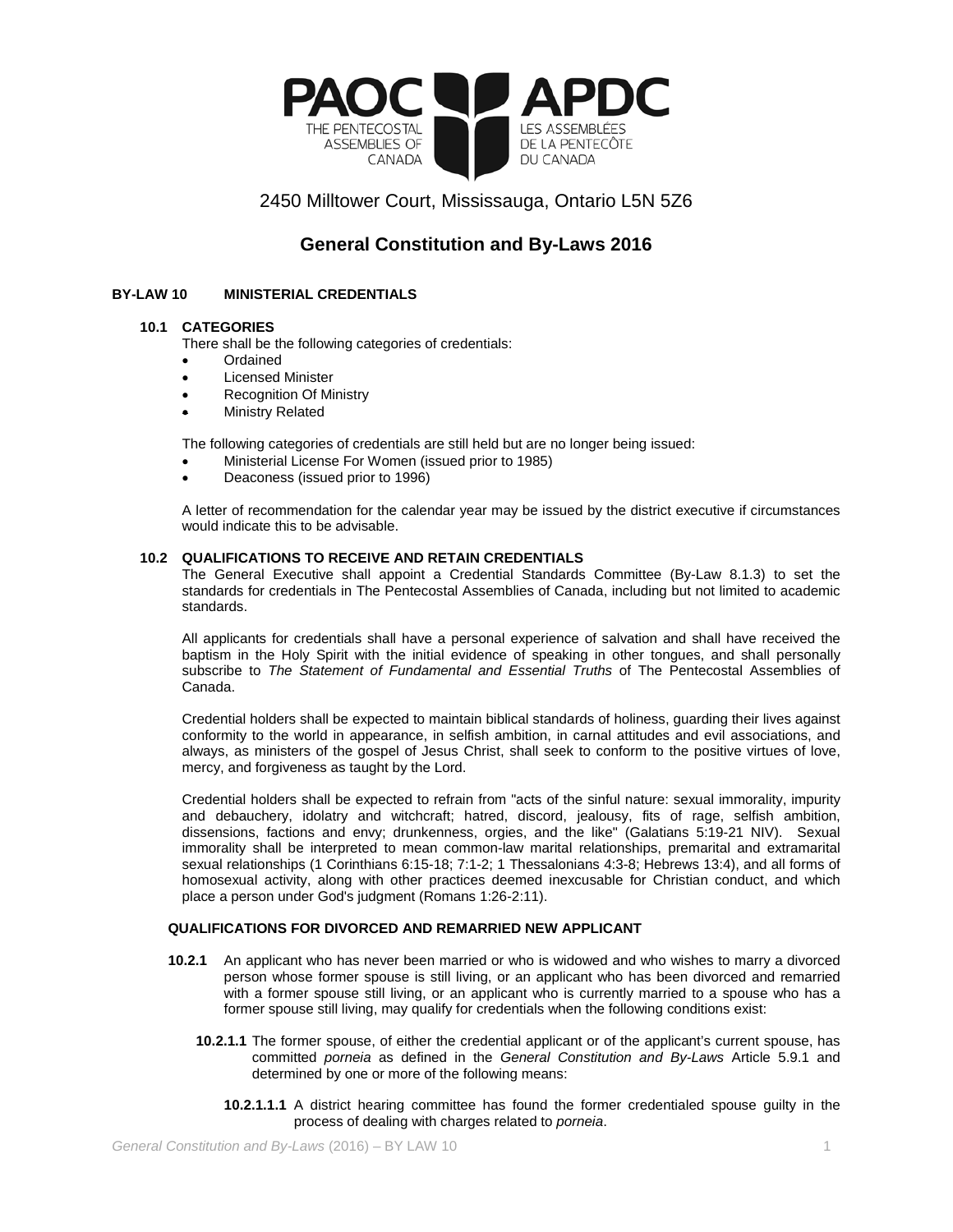

# 2450 Milltower Court, Mississauga, Ontario L5N 5Z6

# **General Constitution and By-Laws 2016**

# **BY-LAW 10 MINISTERIAL CREDENTIALS**

### **10.1 CATEGORIES**

There shall be the following categories of credentials:

- Ordained
- **Licensed Minister**
- **Recognition Of Ministry**
- **Ministry Related**

The following categories of credentials are still held but are no longer being issued:

- Ministerial License For Women (issued prior to 1985)
- Deaconess (issued prior to 1996)

A letter of recommendation for the calendar year may be issued by the district executive if circumstances would indicate this to be advisable.

# **10.2 QUALIFICATIONS TO RECEIVE AND RETAIN CREDENTIALS**

The General Executive shall appoint a Credential Standards Committee (By-Law 8.1.3) to set the standards for credentials in The Pentecostal Assemblies of Canada, including but not limited to academic standards.

All applicants for credentials shall have a personal experience of salvation and shall have received the baptism in the Holy Spirit with the initial evidence of speaking in other tongues, and shall personally subscribe to *The Statement of Fundamental and Essential Truths* of The Pentecostal Assemblies of Canada.

Credential holders shall be expected to maintain biblical standards of holiness, guarding their lives against conformity to the world in appearance, in selfish ambition, in carnal attitudes and evil associations, and always, as ministers of the gospel of Jesus Christ, shall seek to conform to the positive virtues of love, mercy, and forgiveness as taught by the Lord.

Credential holders shall be expected to refrain from "acts of the sinful nature: sexual immorality, impurity and debauchery, idolatry and witchcraft; hatred, discord, jealousy, fits of rage, selfish ambition, dissensions, factions and envy; drunkenness, orgies, and the like" (Galatians 5:19-21 NIV). Sexual immorality shall be interpreted to mean common-law marital relationships, premarital and extramarital sexual relationships (1 Corinthians 6:15-18; 7:1-2; 1 Thessalonians 4:3-8; Hebrews 13:4), and all forms of homosexual activity, along with other practices deemed inexcusable for Christian conduct, and which place a person under God's judgment (Romans 1:26-2:11).

### **QUALIFICATIONS FOR DIVORCED AND REMARRIED NEW APPLICANT**

- **10.2.1** An applicant who has never been married or who is widowed and who wishes to marry a divorced person whose former spouse is still living, or an applicant who has been divorced and remarried with a former spouse still living, or an applicant who is currently married to a spouse who has a former spouse still living, may qualify for credentials when the following conditions exist:
	- **10.2.1.1** The former spouse, of either the credential applicant or of the applicant's current spouse, has committed *porneia* as defined in the *General Constitution and By-Laws* Article 5.9.1 and determined by one or more of the following means:
		- **10.2.1.1.1** A district hearing committee has found the former credentialed spouse guilty in the process of dealing with charges related to *porneia*.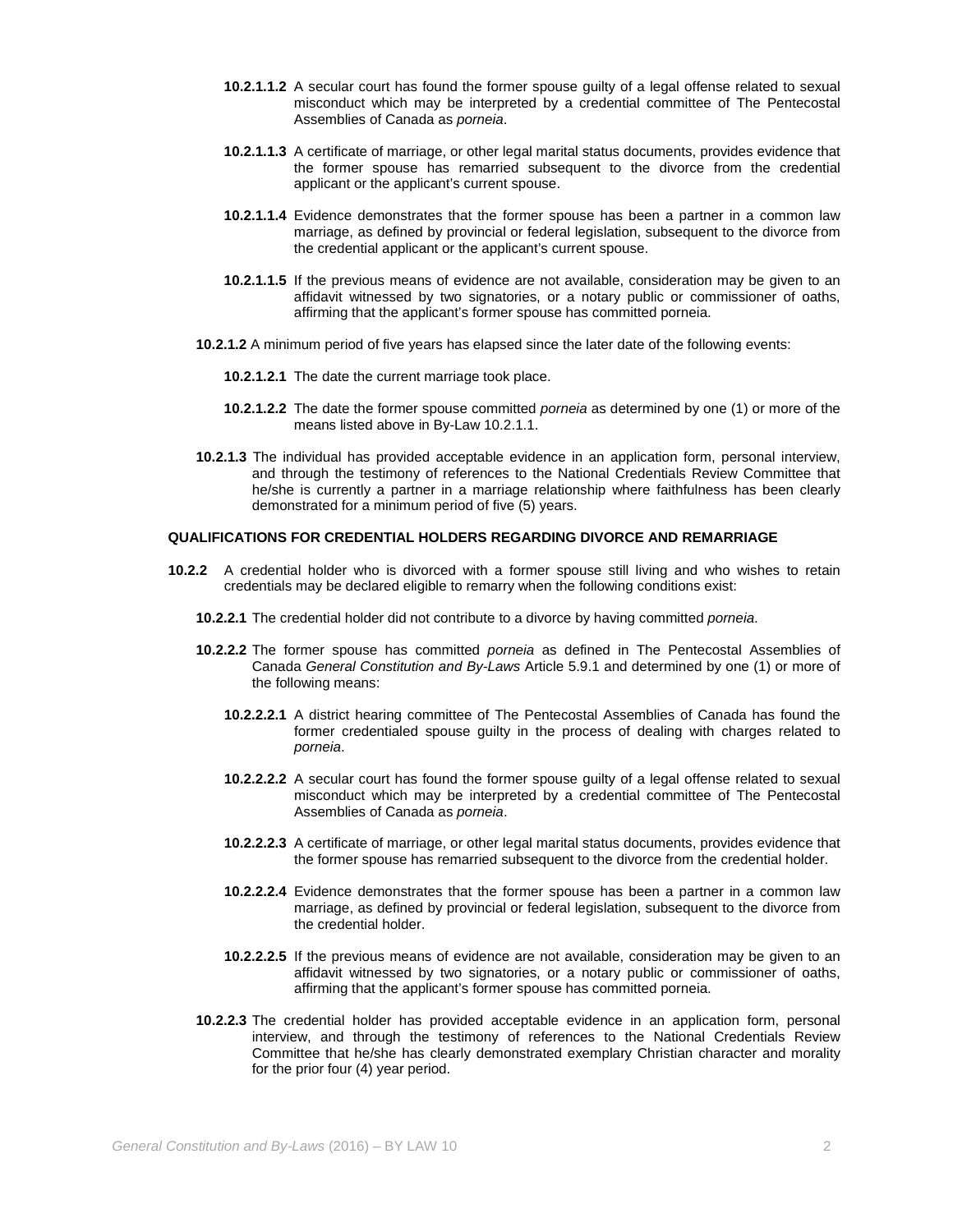- **10.2.1.1.2** A secular court has found the former spouse guilty of a legal offense related to sexual misconduct which may be interpreted by a credential committee of The Pentecostal Assemblies of Canada as *porneia*.
- **10.2.1.1.3** A certificate of marriage, or other legal marital status documents, provides evidence that the former spouse has remarried subsequent to the divorce from the credential applicant or the applicant's current spouse.
- **10.2.1.1.4** Evidence demonstrates that the former spouse has been a partner in a common law marriage, as defined by provincial or federal legislation, subsequent to the divorce from the credential applicant or the applicant's current spouse.
- **10.2.1.1.5** If the previous means of evidence are not available, consideration may be given to an affidavit witnessed by two signatories, or a notary public or commissioner of oaths, affirming that the applicant's former spouse has committed porneia.
- **10.2.1.2** A minimum period of five years has elapsed since the later date of the following events:
	- **10.2.1.2.1** The date the current marriage took place.
	- **10.2.1.2.2** The date the former spouse committed *porneia* as determined by one (1) or more of the means listed above in By-Law 10.2.1.1.
- **10.2.1.3** The individual has provided acceptable evidence in an application form, personal interview, and through the testimony of references to the National Credentials Review Committee that he/she is currently a partner in a marriage relationship where faithfulness has been clearly demonstrated for a minimum period of five (5) years.

### **QUALIFICATIONS FOR CREDENTIAL HOLDERS REGARDING DIVORCE AND REMARRIAGE**

- **10.2.2** A credential holder who is divorced with a former spouse still living and who wishes to retain credentials may be declared eligible to remarry when the following conditions exist:
	- **10.2.2.1** The credential holder did not contribute to a divorce by having committed *porneia*.
	- **10.2.2.2** The former spouse has committed *porneia* as defined in The Pentecostal Assemblies of Canada *General Constitution and By-Laws* Article 5.9.1 and determined by one (1) or more of the following means:
		- **10.2.2.2.1** A district hearing committee of The Pentecostal Assemblies of Canada has found the former credentialed spouse guilty in the process of dealing with charges related to *porneia*.
		- **10.2.2.2.2** A secular court has found the former spouse guilty of a legal offense related to sexual misconduct which may be interpreted by a credential committee of The Pentecostal Assemblies of Canada as *porneia*.
		- **10.2.2.2.3** A certificate of marriage, or other legal marital status documents, provides evidence that the former spouse has remarried subsequent to the divorce from the credential holder.
		- **10.2.2.2.4** Evidence demonstrates that the former spouse has been a partner in a common law marriage, as defined by provincial or federal legislation, subsequent to the divorce from the credential holder.
		- **10.2.2.2.5** If the previous means of evidence are not available, consideration may be given to an affidavit witnessed by two signatories, or a notary public or commissioner of oaths, affirming that the applicant's former spouse has committed porneia.
	- **10.2.2.3** The credential holder has provided acceptable evidence in an application form, personal interview, and through the testimony of references to the National Credentials Review Committee that he/she has clearly demonstrated exemplary Christian character and morality for the prior four (4) year period.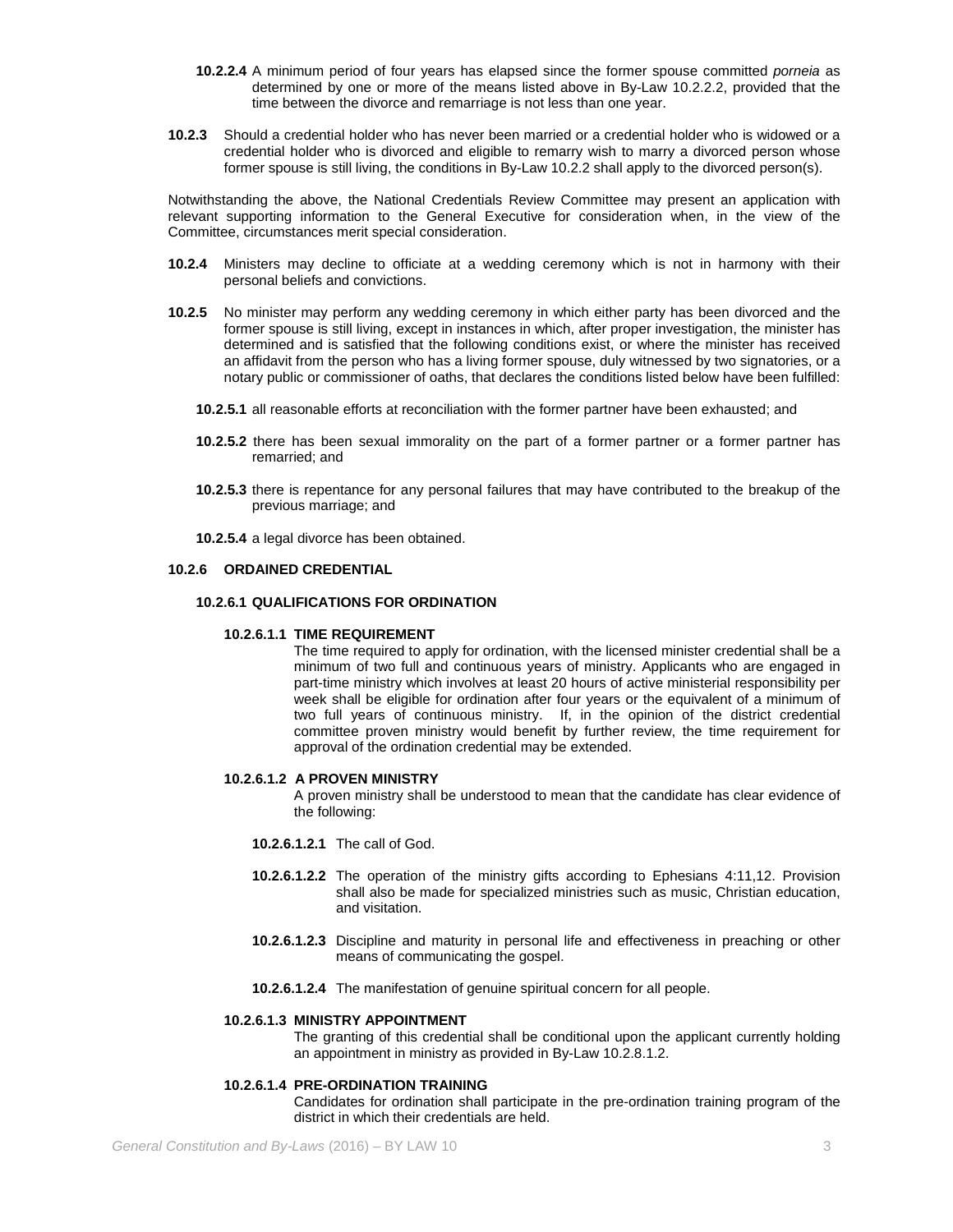- **10.2.2.4** A minimum period of four years has elapsed since the former spouse committed *porneia* as determined by one or more of the means listed above in By-Law 10.2.2.2, provided that the time between the divorce and remarriage is not less than one year.
- **10.2.3** Should a credential holder who has never been married or a credential holder who is widowed or a credential holder who is divorced and eligible to remarry wish to marry a divorced person whose former spouse is still living, the conditions in By-Law 10.2.2 shall apply to the divorced person(s).

Notwithstanding the above, the National Credentials Review Committee may present an application with relevant supporting information to the General Executive for consideration when, in the view of the Committee, circumstances merit special consideration.

- **10.2.4** Ministers may decline to officiate at a wedding ceremony which is not in harmony with their personal beliefs and convictions.
- **10.2.5** No minister may perform any wedding ceremony in which either party has been divorced and the former spouse is still living, except in instances in which, after proper investigation, the minister has determined and is satisfied that the following conditions exist, or where the minister has received an affidavit from the person who has a living former spouse, duly witnessed by two signatories, or a notary public or commissioner of oaths, that declares the conditions listed below have been fulfilled:
	- **10.2.5.1** all reasonable efforts at reconciliation with the former partner have been exhausted; and
	- **10.2.5.2** there has been sexual immorality on the part of a former partner or a former partner has remarried; and
	- **10.2.5.3** there is repentance for any personal failures that may have contributed to the breakup of the previous marriage; and
	- **10.2.5.4** a legal divorce has been obtained.

### **10.2.6 ORDAINED CREDENTIAL**

# **10.2.6.1 QUALIFICATIONS FOR ORDINATION**

### **10.2.6.1.1 TIME REQUIREMENT**

The time required to apply for ordination, with the licensed minister credential shall be a minimum of two full and continuous years of ministry. Applicants who are engaged in part-time ministry which involves at least 20 hours of active ministerial responsibility per week shall be eligible for ordination after four years or the equivalent of a minimum of two full years of continuous ministry. If, in the opinion of the district credential committee proven ministry would benefit by further review, the time requirement for approval of the ordination credential may be extended.

### **10.2.6.1.2 A PROVEN MINISTRY**

A proven ministry shall be understood to mean that the candidate has clear evidence of the following:

- **10.2.6.1.2.1** The call of God.
- **10.2.6.1.2.2** The operation of the ministry gifts according to Ephesians 4:11,12. Provision shall also be made for specialized ministries such as music, Christian education, and visitation.
- **10.2.6.1.2.3** Discipline and maturity in personal life and effectiveness in preaching or other means of communicating the gospel.
- **10.2.6.1.2.4** The manifestation of genuine spiritual concern for all people.

#### **10.2.6.1.3 MINISTRY APPOINTMENT**

The granting of this credential shall be conditional upon the applicant currently holding an appointment in ministry as provided in By-Law 10.2.8.1.2.

### **10.2.6.1.4 PRE-ORDINATION TRAINING**

Candidates for ordination shall participate in the pre-ordination training program of the district in which their credentials are held.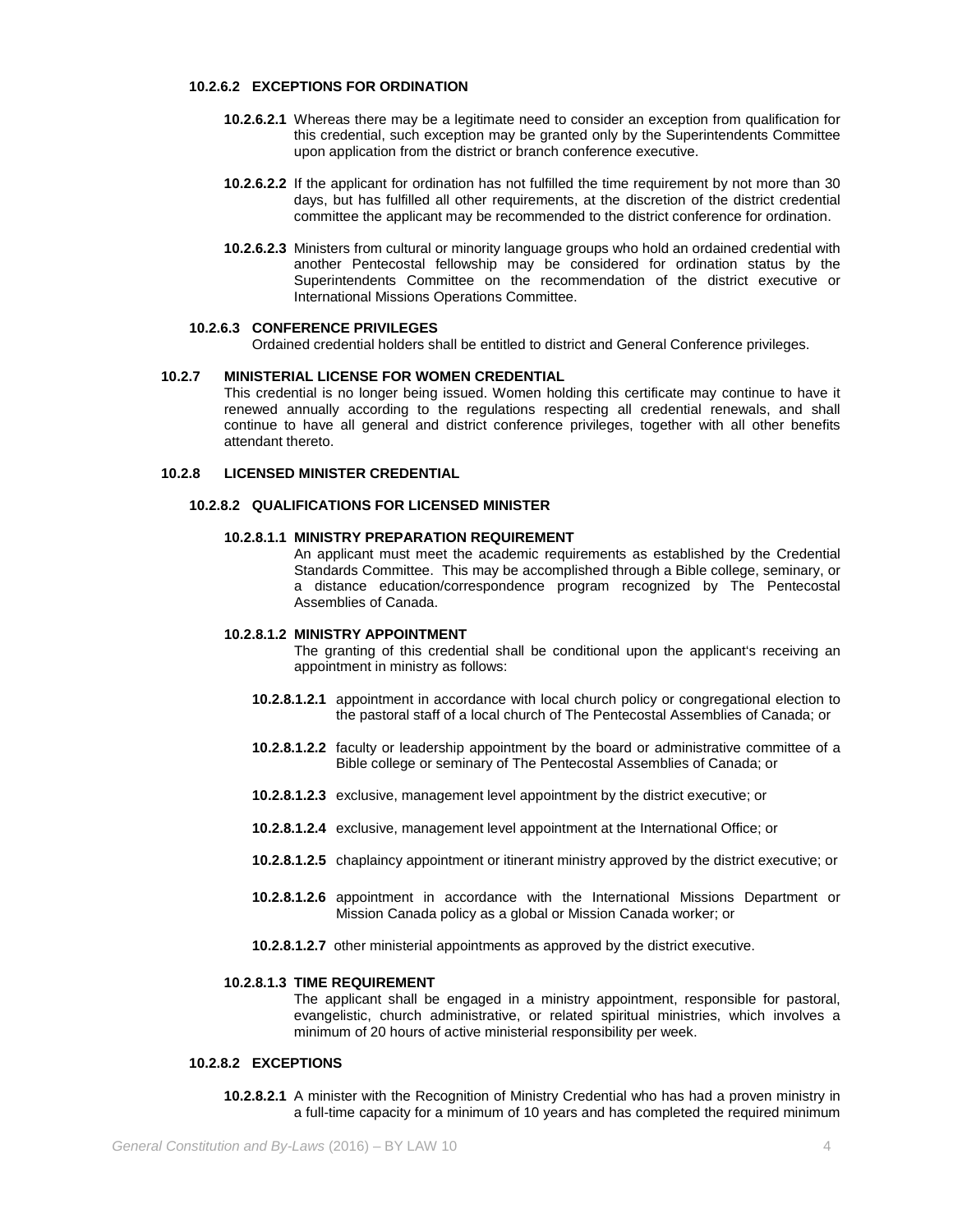### **10.2.6.2 EXCEPTIONS FOR ORDINATION**

- **10.2.6.2.1** Whereas there may be a legitimate need to consider an exception from qualification for this credential, such exception may be granted only by the Superintendents Committee upon application from the district or branch conference executive.
- **10.2.6.2.2** If the applicant for ordination has not fulfilled the time requirement by not more than 30 days, but has fulfilled all other requirements, at the discretion of the district credential committee the applicant may be recommended to the district conference for ordination.
- **10.2.6.2.3** Ministers from cultural or minority language groups who hold an ordained credential with another Pentecostal fellowship may be considered for ordination status by the Superintendents Committee on the recommendation of the district executive or International Missions Operations Committee.

#### **10.2.6.3 CONFERENCE PRIVILEGES**

Ordained credential holders shall be entitled to district and General Conference privileges.

### **10.2.7 MINISTERIAL LICENSE FOR WOMEN CREDENTIAL**

This credential is no longer being issued. Women holding this certificate may continue to have it renewed annually according to the regulations respecting all credential renewals, and shall continue to have all general and district conference privileges, together with all other benefits attendant thereto.

### **10.2.8 LICENSED MINISTER CREDENTIAL**

### **10.2.8.2 QUALIFICATIONS FOR LICENSED MINISTER**

### **10.2.8.1.1 MINISTRY PREPARATION REQUIREMENT**

An applicant must meet the academic requirements as established by the Credential Standards Committee. This may be accomplished through a Bible college, seminary, or a distance education/correspondence program recognized by The Pentecostal Assemblies of Canada.

### **10.2.8.1.2 MINISTRY APPOINTMENT**

The granting of this credential shall be conditional upon the applicant's receiving an appointment in ministry as follows:

- **10.2.8.1.2.1** appointment in accordance with local church policy or congregational election to the pastoral staff of a local church of The Pentecostal Assemblies of Canada; or
- **10.2.8.1.2.2** faculty or leadership appointment by the board or administrative committee of a Bible college or seminary of The Pentecostal Assemblies of Canada; or
- **10.2.8.1.2.3** exclusive, management level appointment by the district executive; or
- **10.2.8.1.2.4** exclusive, management level appointment at the International Office; or
- **10.2.8.1.2.5** chaplaincy appointment or itinerant ministry approved by the district executive; or
- **10.2.8.1.2.6** appointment in accordance with the International Missions Department or Mission Canada policy as a global or Mission Canada worker; or
- **10.2.8.1.2.7** other ministerial appointments as approved by the district executive.

### **10.2.8.1.3 TIME REQUIREMENT**

The applicant shall be engaged in a ministry appointment, responsible for pastoral, evangelistic, church administrative, or related spiritual ministries, which involves a minimum of 20 hours of active ministerial responsibility per week.

### **10.2.8.2 EXCEPTIONS**

**10.2.8.2.1** A minister with the Recognition of Ministry Credential who has had a proven ministry in a full-time capacity for a minimum of 10 years and has completed the required minimum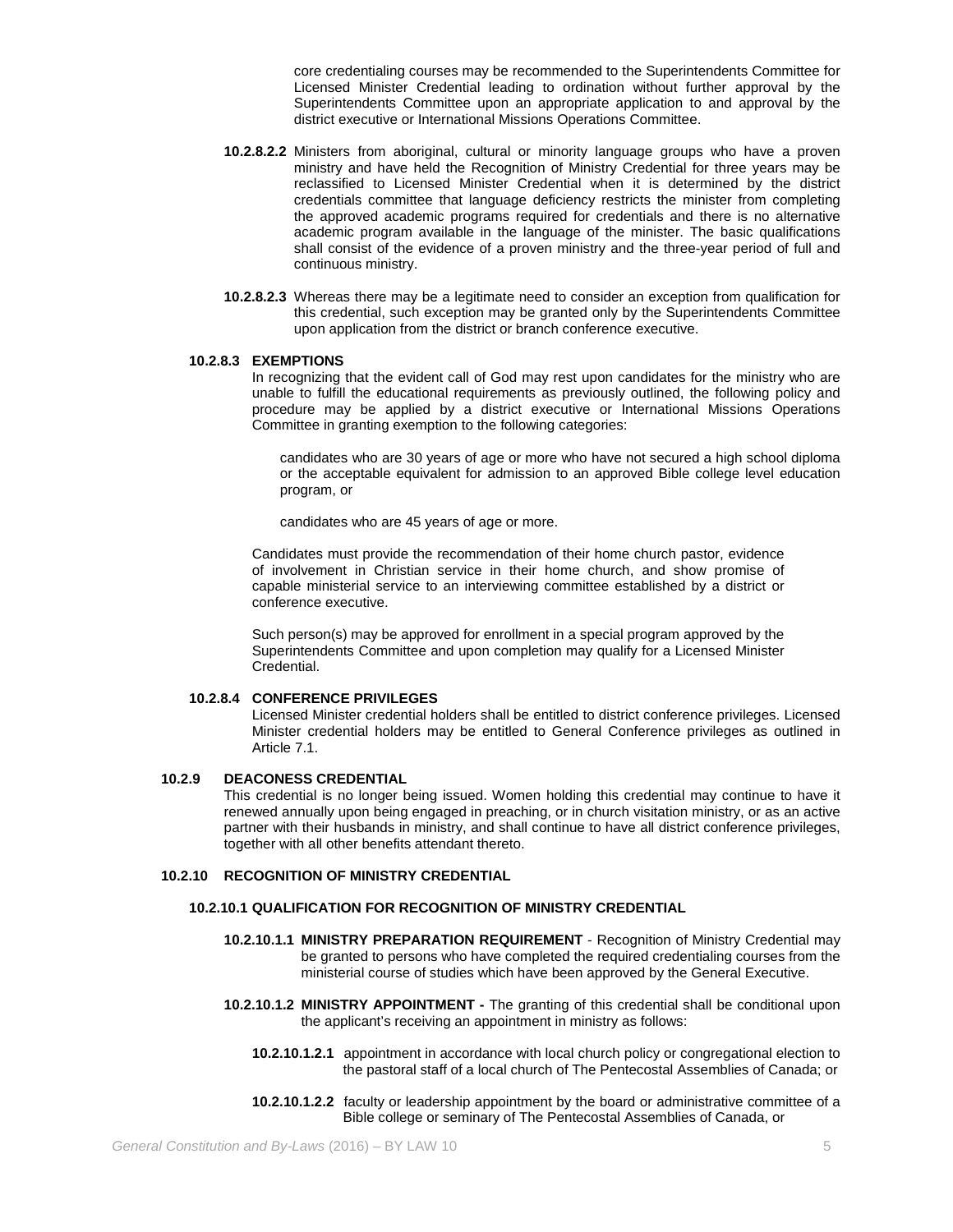core credentialing courses may be recommended to the Superintendents Committee for Licensed Minister Credential leading to ordination without further approval by the Superintendents Committee upon an appropriate application to and approval by the district executive or International Missions Operations Committee.

- **10.2.8.2.2** Ministers from aboriginal, cultural or minority language groups who have a proven ministry and have held the Recognition of Ministry Credential for three years may be reclassified to Licensed Minister Credential when it is determined by the district credentials committee that language deficiency restricts the minister from completing the approved academic programs required for credentials and there is no alternative academic program available in the language of the minister. The basic qualifications shall consist of the evidence of a proven ministry and the three-year period of full and continuous ministry.
- **10.2.8.2.3** Whereas there may be a legitimate need to consider an exception from qualification for this credential, such exception may be granted only by the Superintendents Committee upon application from the district or branch conference executive.

### **10.2.8.3 EXEMPTIONS**

In recognizing that the evident call of God may rest upon candidates for the ministry who are unable to fulfill the educational requirements as previously outlined, the following policy and procedure may be applied by a district executive or International Missions Operations Committee in granting exemption to the following categories:

candidates who are 30 years of age or more who have not secured a high school diploma or the acceptable equivalent for admission to an approved Bible college level education program, or

candidates who are 45 years of age or more.

Candidates must provide the recommendation of their home church pastor, evidence of involvement in Christian service in their home church, and show promise of capable ministerial service to an interviewing committee established by a district or conference executive.

Such person(s) may be approved for enrollment in a special program approved by the Superintendents Committee and upon completion may qualify for a Licensed Minister Credential.

#### **10.2.8.4 CONFERENCE PRIVILEGES**

Licensed Minister credential holders shall be entitled to district conference privileges. Licensed Minister credential holders may be entitled to General Conference privileges as outlined in Article 7.1.

### **10.2.9 DEACONESS CREDENTIAL**

This credential is no longer being issued. Women holding this credential may continue to have it renewed annually upon being engaged in preaching, or in church visitation ministry, or as an active partner with their husbands in ministry, and shall continue to have all district conference privileges, together with all other benefits attendant thereto.

### **10.2.10 RECOGNITION OF MINISTRY CREDENTIAL**

### **10.2.10.1 QUALIFICATION FOR RECOGNITION OF MINISTRY CREDENTIAL**

- **10.2.10.1.1 MINISTRY PREPARATION REQUIREMENT** Recognition of Ministry Credential may be granted to persons who have completed the required credentialing courses from the ministerial course of studies which have been approved by the General Executive.
- **10.2.10.1.2 MINISTRY APPOINTMENT -** The granting of this credential shall be conditional upon the applicant's receiving an appointment in ministry as follows:
	- **10.2.10.1.2.1** appointment in accordance with local church policy or congregational election to the pastoral staff of a local church of The Pentecostal Assemblies of Canada; or
	- **10.2.10.1.2.2** faculty or leadership appointment by the board or administrative committee of a Bible college or seminary of The Pentecostal Assemblies of Canada, or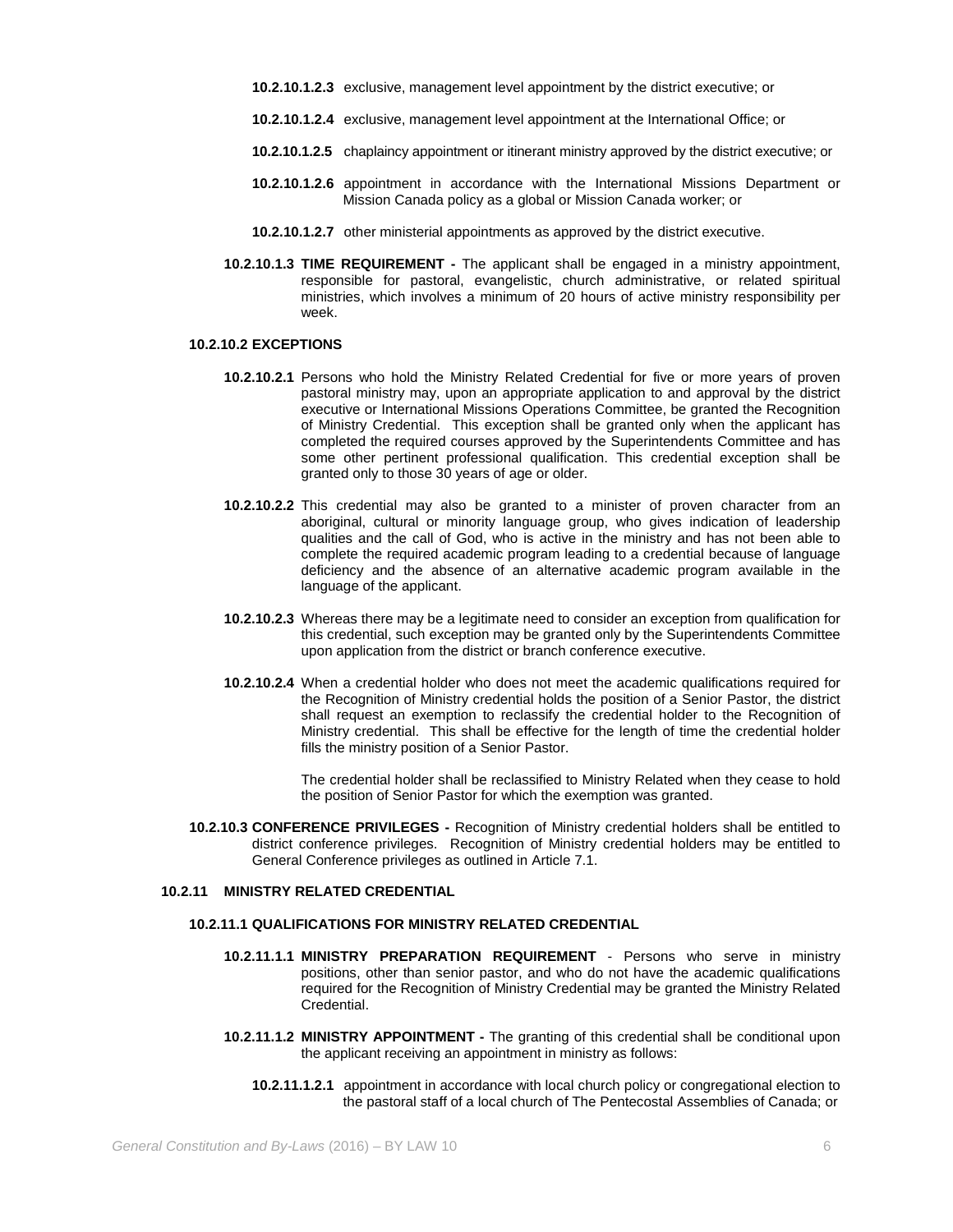- **10.2.10.1.2.3** exclusive, management level appointment by the district executive; or
- **10.2.10.1.2.4** exclusive, management level appointment at the International Office; or
- **10.2.10.1.2.5** chaplaincy appointment or itinerant ministry approved by the district executive; or
- **10.2.10.1.2.6** appointment in accordance with the International Missions Department or Mission Canada policy as a global or Mission Canada worker; or
- **10.2.10.1.2.7** other ministerial appointments as approved by the district executive.
- **10.2.10.1.3 TIME REQUIREMENT -** The applicant shall be engaged in a ministry appointment, responsible for pastoral, evangelistic, church administrative, or related spiritual ministries, which involves a minimum of 20 hours of active ministry responsibility per week.

### **10.2.10.2 EXCEPTIONS**

- **10.2.10.2.1** Persons who hold the Ministry Related Credential for five or more years of proven pastoral ministry may, upon an appropriate application to and approval by the district executive or International Missions Operations Committee, be granted the Recognition of Ministry Credential. This exception shall be granted only when the applicant has completed the required courses approved by the Superintendents Committee and has some other pertinent professional qualification. This credential exception shall be granted only to those 30 years of age or older.
- **10.2.10.2.2** This credential may also be granted to a minister of proven character from an aboriginal, cultural or minority language group, who gives indication of leadership qualities and the call of God, who is active in the ministry and has not been able to complete the required academic program leading to a credential because of language deficiency and the absence of an alternative academic program available in the language of the applicant.
- **10.2.10.2.3** Whereas there may be a legitimate need to consider an exception from qualification for this credential, such exception may be granted only by the Superintendents Committee upon application from the district or branch conference executive.
- **10.2.10.2.4** When a credential holder who does not meet the academic qualifications required for the Recognition of Ministry credential holds the position of a Senior Pastor, the district shall request an exemption to reclassify the credential holder to the Recognition of Ministry credential. This shall be effective for the length of time the credential holder fills the ministry position of a Senior Pastor.

The credential holder shall be reclassified to Ministry Related when they cease to hold the position of Senior Pastor for which the exemption was granted.

**10.2.10.3 CONFERENCE PRIVILEGES -** Recognition of Ministry credential holders shall be entitled to district conference privileges. Recognition of Ministry credential holders may be entitled to General Conference privileges as outlined in Article 7.1.

# **10.2.11 MINISTRY RELATED CREDENTIAL**

# **10.2.11.1 QUALIFICATIONS FOR MINISTRY RELATED CREDENTIAL**

- **10.2.11.1.1 MINISTRY PREPARATION REQUIREMENT** Persons who serve in ministry positions, other than senior pastor, and who do not have the academic qualifications required for the Recognition of Ministry Credential may be granted the Ministry Related Credential.
- **10.2.11.1.2 MINISTRY APPOINTMENT -** The granting of this credential shall be conditional upon the applicant receiving an appointment in ministry as follows:
	- **10.2.11.1.2.1** appointment in accordance with local church policy or congregational election to the pastoral staff of a local church of The Pentecostal Assemblies of Canada; or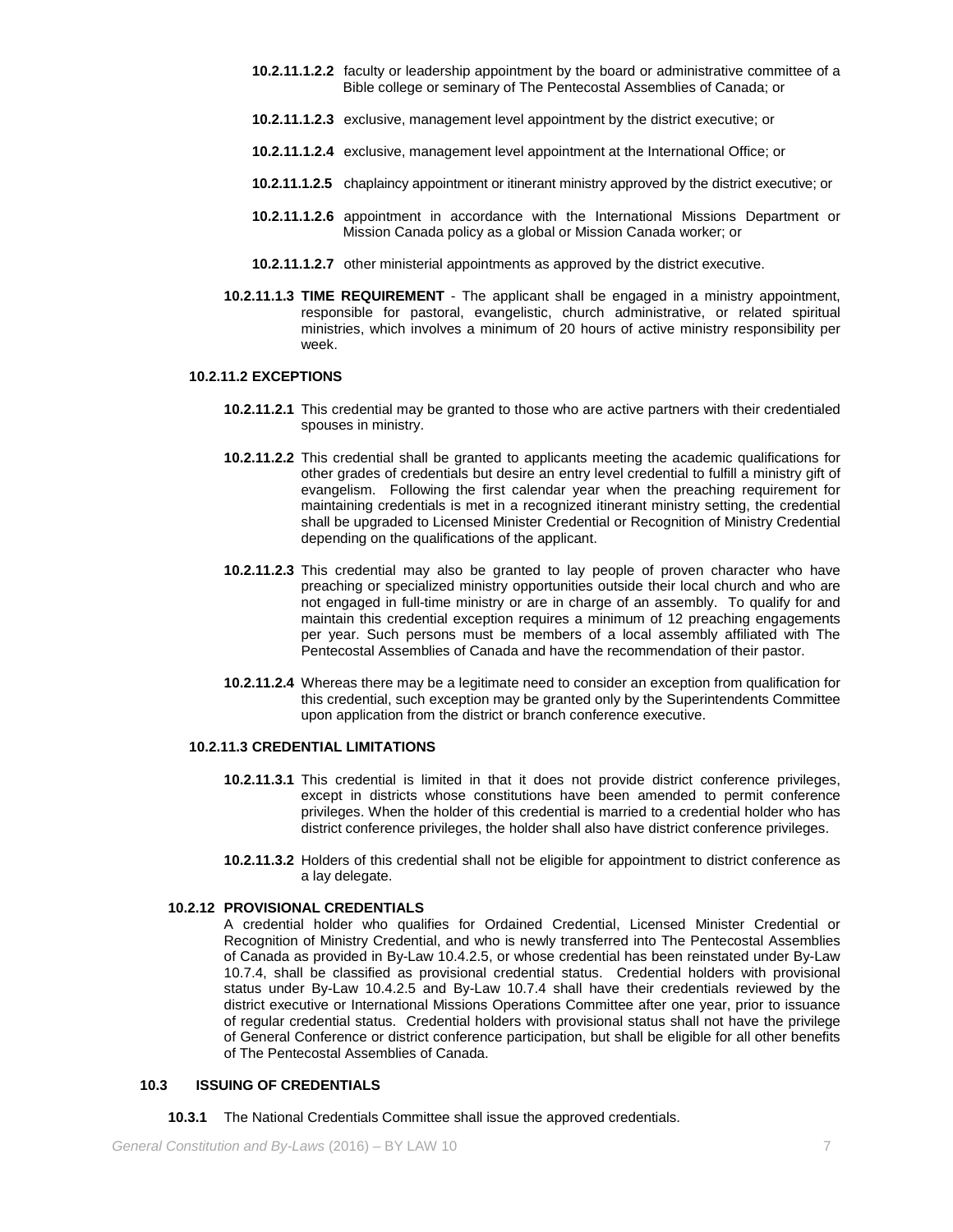- **10.2.11.1.2.2** faculty or leadership appointment by the board or administrative committee of a Bible college or seminary of The Pentecostal Assemblies of Canada; or
- **10.2.11.1.2.3** exclusive, management level appointment by the district executive; or
- **10.2.11.1.2.4** exclusive, management level appointment at the International Office; or
- **10.2.11.1.2.5** chaplaincy appointment or itinerant ministry approved by the district executive; or
- **10.2.11.1.2.6** appointment in accordance with the International Missions Department or Mission Canada policy as a global or Mission Canada worker; or
- **10.2.11.1.2.7** other ministerial appointments as approved by the district executive.
- **10.2.11.1.3 TIME REQUIREMENT** The applicant shall be engaged in a ministry appointment, responsible for pastoral, evangelistic, church administrative, or related spiritual ministries, which involves a minimum of 20 hours of active ministry responsibility per week.

# **10.2.11.2 EXCEPTIONS**

- **10.2.11.2.1** This credential may be granted to those who are active partners with their credentialed spouses in ministry.
- **10.2.11.2.2** This credential shall be granted to applicants meeting the academic qualifications for other grades of credentials but desire an entry level credential to fulfill a ministry gift of evangelism. Following the first calendar year when the preaching requirement for maintaining credentials is met in a recognized itinerant ministry setting, the credential shall be upgraded to Licensed Minister Credential or Recognition of Ministry Credential depending on the qualifications of the applicant.
- **10.2.11.2.3** This credential may also be granted to lay people of proven character who have preaching or specialized ministry opportunities outside their local church and who are not engaged in full-time ministry or are in charge of an assembly. To qualify for and maintain this credential exception requires a minimum of 12 preaching engagements per year. Such persons must be members of a local assembly affiliated with The Pentecostal Assemblies of Canada and have the recommendation of their pastor.
- **10.2.11.2.4** Whereas there may be a legitimate need to consider an exception from qualification for this credential, such exception may be granted only by the Superintendents Committee upon application from the district or branch conference executive.

#### **10.2.11.3 CREDENTIAL LIMITATIONS**

- **10.2.11.3.1** This credential is limited in that it does not provide district conference privileges, except in districts whose constitutions have been amended to permit conference privileges. When the holder of this credential is married to a credential holder who has district conference privileges, the holder shall also have district conference privileges.
- **10.2.11.3.2** Holders of this credential shall not be eligible for appointment to district conference as a lay delegate.

### **10.2.12 PROVISIONAL CREDENTIALS**

A credential holder who qualifies for Ordained Credential, Licensed Minister Credential or Recognition of Ministry Credential, and who is newly transferred into The Pentecostal Assemblies of Canada as provided in By-Law 10.4.2.5, or whose credential has been reinstated under By-Law 10.7.4, shall be classified as provisional credential status. Credential holders with provisional status under By-Law 10.4.2.5 and By-Law 10.7.4 shall have their credentials reviewed by the district executive or International Missions Operations Committee after one year, prior to issuance of regular credential status. Credential holders with provisional status shall not have the privilege of General Conference or district conference participation, but shall be eligible for all other benefits of The Pentecostal Assemblies of Canada.

### **10.3 ISSUING OF CREDENTIALS**

**10.3.1** The National Credentials Committee shall issue the approved credentials.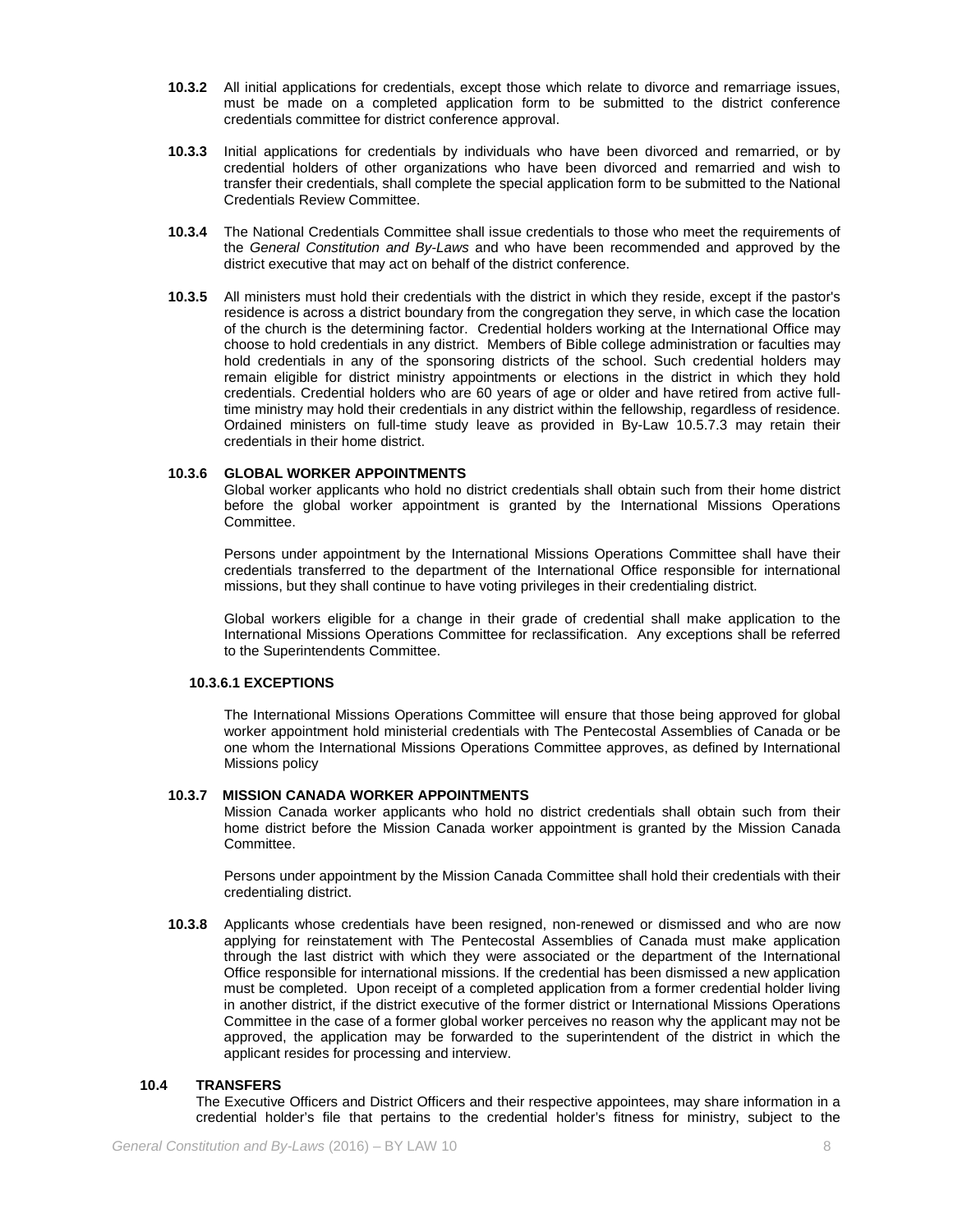- **10.3.2** All initial applications for credentials, except those which relate to divorce and remarriage issues, must be made on a completed application form to be submitted to the district conference credentials committee for district conference approval.
- **10.3.3** Initial applications for credentials by individuals who have been divorced and remarried, or by credential holders of other organizations who have been divorced and remarried and wish to transfer their credentials, shall complete the special application form to be submitted to the National Credentials Review Committee.
- **10.3.4** The National Credentials Committee shall issue credentials to those who meet the requirements of the *General Constitution and By-Laws* and who have been recommended and approved by the district executive that may act on behalf of the district conference.
- **10.3.5** All ministers must hold their credentials with the district in which they reside, except if the pastor's residence is across a district boundary from the congregation they serve, in which case the location of the church is the determining factor. Credential holders working at the International Office may choose to hold credentials in any district. Members of Bible college administration or faculties may hold credentials in any of the sponsoring districts of the school. Such credential holders may remain eligible for district ministry appointments or elections in the district in which they hold credentials. Credential holders who are 60 years of age or older and have retired from active fulltime ministry may hold their credentials in any district within the fellowship, regardless of residence. Ordained ministers on full-time study leave as provided in By-Law 10.5.7.3 may retain their credentials in their home district.

# **10.3.6 GLOBAL WORKER APPOINTMENTS**

Global worker applicants who hold no district credentials shall obtain such from their home district before the global worker appointment is granted by the International Missions Operations Committee.

Persons under appointment by the International Missions Operations Committee shall have their credentials transferred to the department of the International Office responsible for international missions, but they shall continue to have voting privileges in their credentialing district.

Global workers eligible for a change in their grade of credential shall make application to the International Missions Operations Committee for reclassification. Any exceptions shall be referred to the Superintendents Committee.

#### **10.3.6.1 EXCEPTIONS**

The International Missions Operations Committee will ensure that those being approved for global worker appointment hold ministerial credentials with The Pentecostal Assemblies of Canada or be one whom the International Missions Operations Committee approves, as defined by International Missions policy

### **10.3.7 MISSION CANADA WORKER APPOINTMENTS**

Mission Canada worker applicants who hold no district credentials shall obtain such from their home district before the Mission Canada worker appointment is granted by the Mission Canada Committee.

Persons under appointment by the Mission Canada Committee shall hold their credentials with their credentialing district.

**10.3.8** Applicants whose credentials have been resigned, non-renewed or dismissed and who are now applying for reinstatement with The Pentecostal Assemblies of Canada must make application through the last district with which they were associated or the department of the International Office responsible for international missions. If the credential has been dismissed a new application must be completed. Upon receipt of a completed application from a former credential holder living in another district, if the district executive of the former district or International Missions Operations Committee in the case of a former global worker perceives no reason why the applicant may not be approved, the application may be forwarded to the superintendent of the district in which the applicant resides for processing and interview.

### **10.4 TRANSFERS**

The Executive Officers and District Officers and their respective appointees, may share information in a credential holder's file that pertains to the credential holder's fitness for ministry, subject to the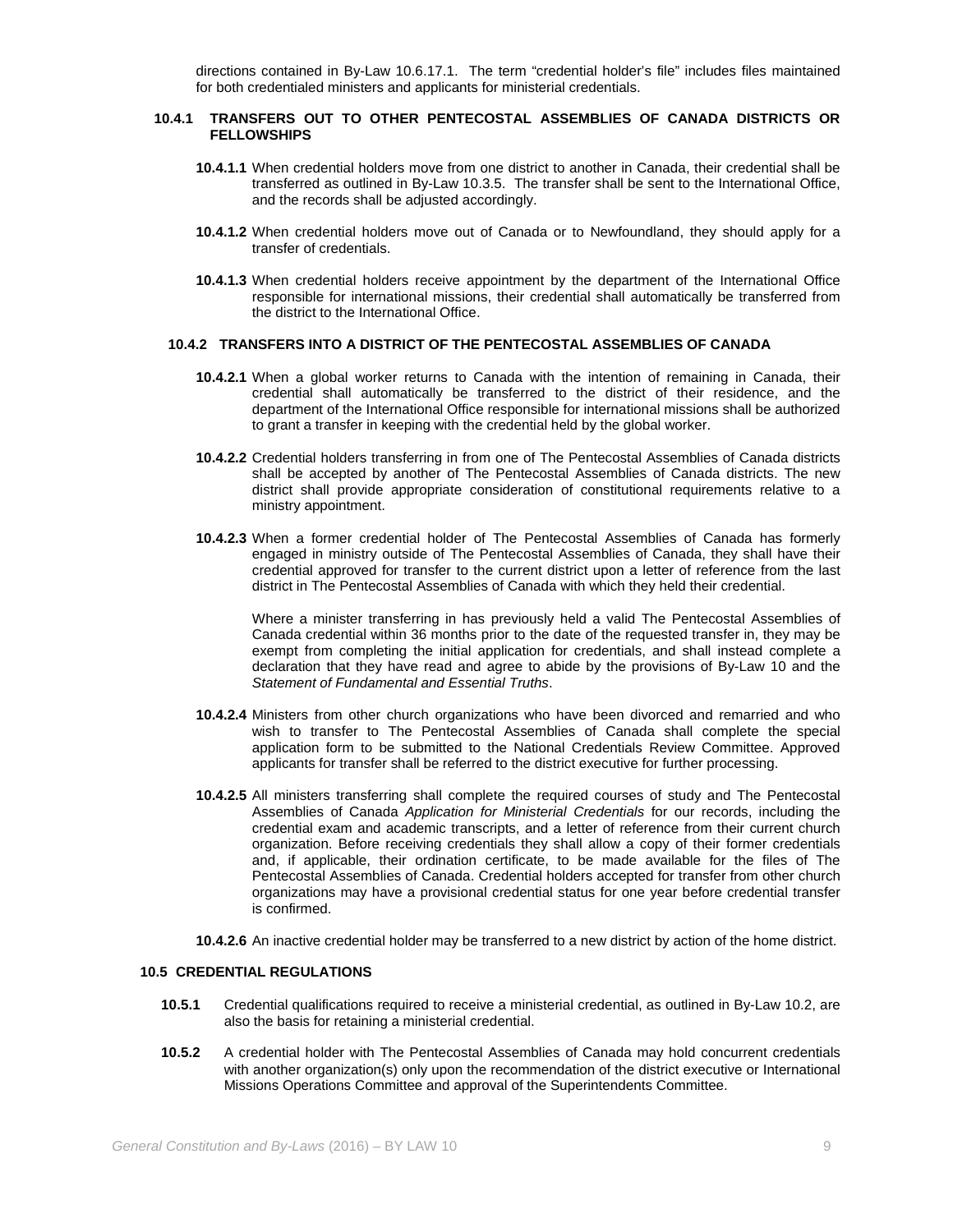directions contained in By-Law 10.6.17.1. The term "credential holder's file" includes files maintained for both credentialed ministers and applicants for ministerial credentials.

### **10.4.1 TRANSFERS OUT TO OTHER PENTECOSTAL ASSEMBLIES OF CANADA DISTRICTS OR FELLOWSHIPS**

- **10.4.1.1** When credential holders move from one district to another in Canada, their credential shall be transferred as outlined in By-Law 10.3.5. The transfer shall be sent to the International Office, and the records shall be adjusted accordingly.
- **10.4.1.2** When credential holders move out of Canada or to Newfoundland, they should apply for a transfer of credentials.
- **10.4.1.3** When credential holders receive appointment by the department of the International Office responsible for international missions, their credential shall automatically be transferred from the district to the International Office.

# **10.4.2 TRANSFERS INTO A DISTRICT OF THE PENTECOSTAL ASSEMBLIES OF CANADA**

- **10.4.2.1** When a global worker returns to Canada with the intention of remaining in Canada, their credential shall automatically be transferred to the district of their residence, and the department of the International Office responsible for international missions shall be authorized to grant a transfer in keeping with the credential held by the global worker.
- **10.4.2.2** Credential holders transferring in from one of The Pentecostal Assemblies of Canada districts shall be accepted by another of The Pentecostal Assemblies of Canada districts. The new district shall provide appropriate consideration of constitutional requirements relative to a ministry appointment.
- **10.4.2.3** When a former credential holder of The Pentecostal Assemblies of Canada has formerly engaged in ministry outside of The Pentecostal Assemblies of Canada, they shall have their credential approved for transfer to the current district upon a letter of reference from the last district in The Pentecostal Assemblies of Canada with which they held their credential.

Where a minister transferring in has previously held a valid The Pentecostal Assemblies of Canada credential within 36 months prior to the date of the requested transfer in, they may be exempt from completing the initial application for credentials, and shall instead complete a declaration that they have read and agree to abide by the provisions of By-Law 10 and the *Statement of Fundamental and Essential Truths*.

- **10.4.2.4** Ministers from other church organizations who have been divorced and remarried and who wish to transfer to The Pentecostal Assemblies of Canada shall complete the special application form to be submitted to the National Credentials Review Committee. Approved applicants for transfer shall be referred to the district executive for further processing.
- **10.4.2.5** All ministers transferring shall complete the required courses of study and The Pentecostal Assemblies of Canada *Application for Ministerial Credentials* for our records, including the credential exam and academic transcripts, and a letter of reference from their current church organization. Before receiving credentials they shall allow a copy of their former credentials and, if applicable, their ordination certificate, to be made available for the files of The Pentecostal Assemblies of Canada. Credential holders accepted for transfer from other church organizations may have a provisional credential status for one year before credential transfer is confirmed.
- **10.4.2.6** An inactive credential holder may be transferred to a new district by action of the home district.

### **10.5 CREDENTIAL REGULATIONS**

- **10.5.1** Credential qualifications required to receive a ministerial credential, as outlined in By-Law 10.2, are also the basis for retaining a ministerial credential.
- **10.5.2** A credential holder with The Pentecostal Assemblies of Canada may hold concurrent credentials with another organization(s) only upon the recommendation of the district executive or International Missions Operations Committee and approval of the Superintendents Committee.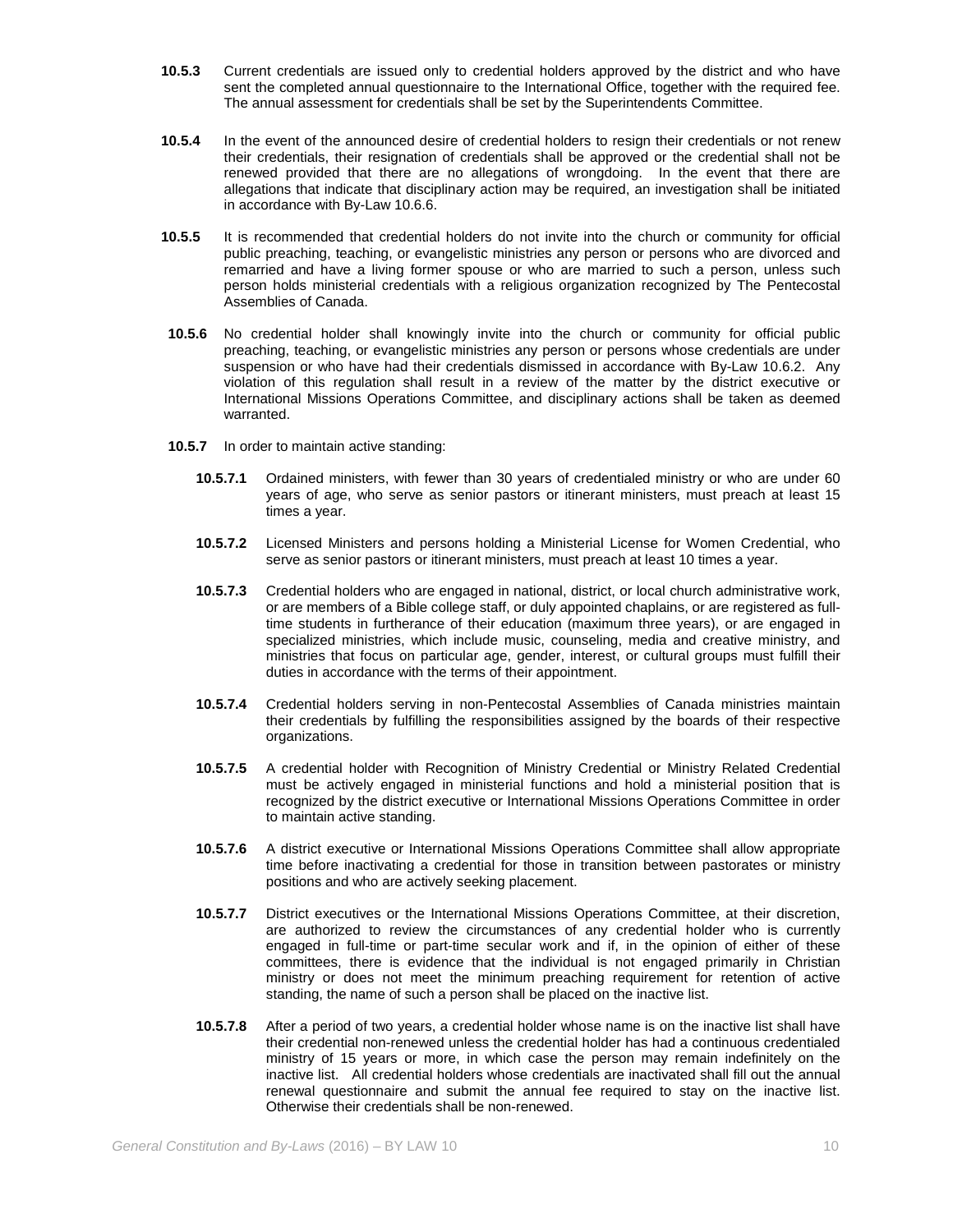- **10.5.3** Current credentials are issued only to credential holders approved by the district and who have sent the completed annual questionnaire to the International Office, together with the required fee. The annual assessment for credentials shall be set by the Superintendents Committee.
- **10.5.4** In the event of the announced desire of credential holders to resign their credentials or not renew their credentials, their resignation of credentials shall be approved or the credential shall not be renewed provided that there are no allegations of wrongdoing. In the event that there are allegations that indicate that disciplinary action may be required, an investigation shall be initiated in accordance with By-Law 10.6.6.
- **10.5.5** It is recommended that credential holders do not invite into the church or community for official public preaching, teaching, or evangelistic ministries any person or persons who are divorced and remarried and have a living former spouse or who are married to such a person, unless such person holds ministerial credentials with a religious organization recognized by The Pentecostal Assemblies of Canada.
- **10.5.6** No credential holder shall knowingly invite into the church or community for official public preaching, teaching, or evangelistic ministries any person or persons whose credentials are under suspension or who have had their credentials dismissed in accordance with By-Law 10.6.2. Any violation of this regulation shall result in a review of the matter by the district executive or International Missions Operations Committee, and disciplinary actions shall be taken as deemed warranted.
- **10.5.7** In order to maintain active standing:
	- **10.5.7.1** Ordained ministers, with fewer than 30 years of credentialed ministry or who are under 60 years of age, who serve as senior pastors or itinerant ministers, must preach at least 15 times a year.
	- **10.5.7.2** Licensed Ministers and persons holding a Ministerial License for Women Credential, who serve as senior pastors or itinerant ministers, must preach at least 10 times a year.
	- **10.5.7.3** Credential holders who are engaged in national, district, or local church administrative work, or are members of a Bible college staff, or duly appointed chaplains, or are registered as fulltime students in furtherance of their education (maximum three years), or are engaged in specialized ministries, which include music, counseling, media and creative ministry, and ministries that focus on particular age, gender, interest, or cultural groups must fulfill their duties in accordance with the terms of their appointment.
	- **10.5.7.4** Credential holders serving in non-Pentecostal Assemblies of Canada ministries maintain their credentials by fulfilling the responsibilities assigned by the boards of their respective organizations.
	- **10.5.7.5** A credential holder with Recognition of Ministry Credential or Ministry Related Credential must be actively engaged in ministerial functions and hold a ministerial position that is recognized by the district executive or International Missions Operations Committee in order to maintain active standing.
	- **10.5.7.6** A district executive or International Missions Operations Committee shall allow appropriate time before inactivating a credential for those in transition between pastorates or ministry positions and who are actively seeking placement.
	- **10.5.7.7** District executives or the International Missions Operations Committee, at their discretion, are authorized to review the circumstances of any credential holder who is currently engaged in full-time or part-time secular work and if, in the opinion of either of these committees, there is evidence that the individual is not engaged primarily in Christian ministry or does not meet the minimum preaching requirement for retention of active standing, the name of such a person shall be placed on the inactive list.
	- **10.5.7.8** After a period of two years, a credential holder whose name is on the inactive list shall have their credential non-renewed unless the credential holder has had a continuous credentialed ministry of 15 years or more, in which case the person may remain indefinitely on the inactive list. All credential holders whose credentials are inactivated shall fill out the annual renewal questionnaire and submit the annual fee required to stay on the inactive list. Otherwise their credentials shall be non-renewed.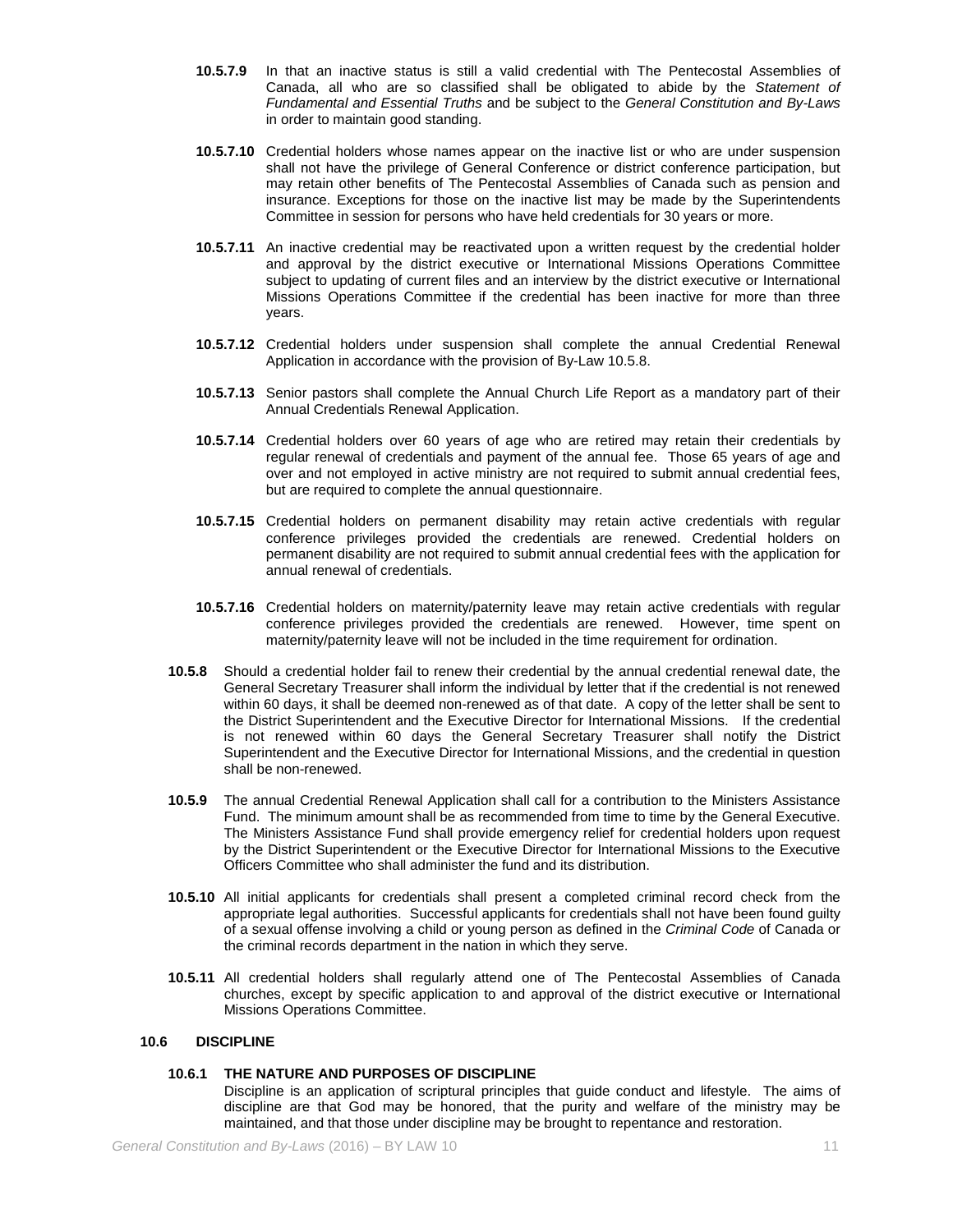- **10.5.7.9** In that an inactive status is still a valid credential with The Pentecostal Assemblies of Canada, all who are so classified shall be obligated to abide by the *Statement of Fundamental and Essential Truths* and be subject to the *General Constitution and By-Laws* in order to maintain good standing.
- **10.5.7.10** Credential holders whose names appear on the inactive list or who are under suspension shall not have the privilege of General Conference or district conference participation, but may retain other benefits of The Pentecostal Assemblies of Canada such as pension and insurance. Exceptions for those on the inactive list may be made by the Superintendents Committee in session for persons who have held credentials for 30 years or more.
- **10.5.7.11** An inactive credential may be reactivated upon a written request by the credential holder and approval by the district executive or International Missions Operations Committee subject to updating of current files and an interview by the district executive or International Missions Operations Committee if the credential has been inactive for more than three years.
- **10.5.7.12** Credential holders under suspension shall complete the annual Credential Renewal Application in accordance with the provision of By-Law 10.5.8.
- **10.5.7.13** Senior pastors shall complete the Annual Church Life Report as a mandatory part of their Annual Credentials Renewal Application.
- **10.5.7.14** Credential holders over 60 years of age who are retired may retain their credentials by regular renewal of credentials and payment of the annual fee. Those 65 years of age and over and not employed in active ministry are not required to submit annual credential fees, but are required to complete the annual questionnaire.
- **10.5.7.15** Credential holders on permanent disability may retain active credentials with regular conference privileges provided the credentials are renewed. Credential holders on permanent disability are not required to submit annual credential fees with the application for annual renewal of credentials.
- **10.5.7.16** Credential holders on maternity/paternity leave may retain active credentials with regular conference privileges provided the credentials are renewed. However, time spent on maternity/paternity leave will not be included in the time requirement for ordination.
- **10.5.8** Should a credential holder fail to renew their credential by the annual credential renewal date, the General Secretary Treasurer shall inform the individual by letter that if the credential is not renewed within 60 days, it shall be deemed non-renewed as of that date. A copy of the letter shall be sent to the District Superintendent and the Executive Director for International Missions. If the credential is not renewed within 60 days the General Secretary Treasurer shall notify the District Superintendent and the Executive Director for International Missions, and the credential in question shall be non-renewed.
- **10.5.9** The annual Credential Renewal Application shall call for a contribution to the Ministers Assistance Fund. The minimum amount shall be as recommended from time to time by the General Executive. The Ministers Assistance Fund shall provide emergency relief for credential holders upon request by the District Superintendent or the Executive Director for International Missions to the Executive Officers Committee who shall administer the fund and its distribution.
- **10.5.10** All initial applicants for credentials shall present a completed criminal record check from the appropriate legal authorities. Successful applicants for credentials shall not have been found guilty of a sexual offense involving a child or young person as defined in the *Criminal Code* of Canada or the criminal records department in the nation in which they serve.
- **10.5.11** All credential holders shall regularly attend one of The Pentecostal Assemblies of Canada churches, except by specific application to and approval of the district executive or International Missions Operations Committee.

### **10.6 DISCIPLINE**

### **10.6.1 THE NATURE AND PURPOSES OF DISCIPLINE**

Discipline is an application of scriptural principles that guide conduct and lifestyle. The aims of discipline are that God may be honored, that the purity and welfare of the ministry may be maintained, and that those under discipline may be brought to repentance and restoration.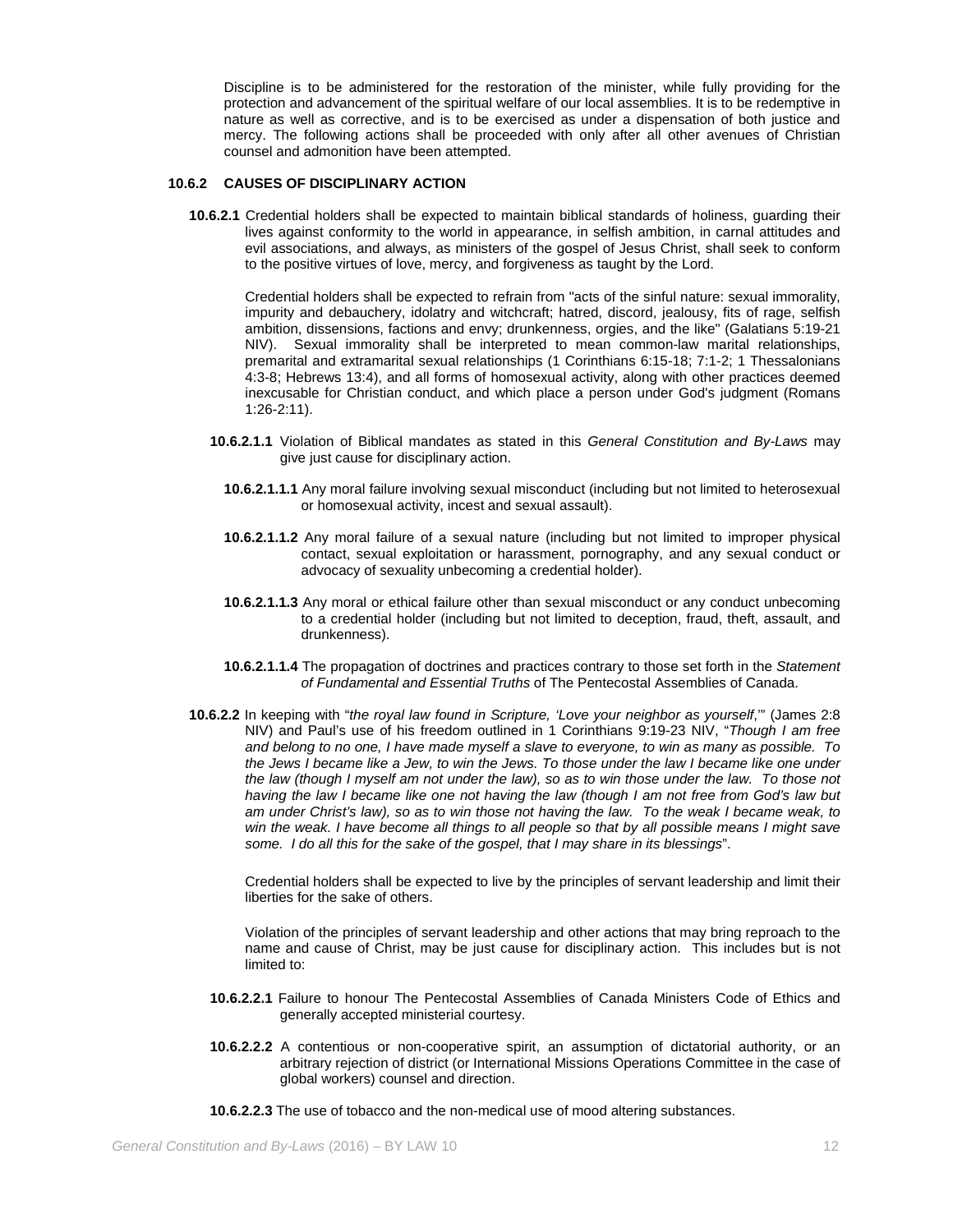Discipline is to be administered for the restoration of the minister, while fully providing for the protection and advancement of the spiritual welfare of our local assemblies. It is to be redemptive in nature as well as corrective, and is to be exercised as under a dispensation of both justice and mercy. The following actions shall be proceeded with only after all other avenues of Christian counsel and admonition have been attempted.

#### **10.6.2 CAUSES OF DISCIPLINARY ACTION**

**10.6.2.1** Credential holders shall be expected to maintain biblical standards of holiness, guarding their lives against conformity to the world in appearance, in selfish ambition, in carnal attitudes and evil associations, and always, as ministers of the gospel of Jesus Christ, shall seek to conform to the positive virtues of love, mercy, and forgiveness as taught by the Lord.

Credential holders shall be expected to refrain from "acts of the sinful nature: sexual immorality, impurity and debauchery, idolatry and witchcraft; hatred, discord, jealousy, fits of rage, selfish ambition, dissensions, factions and envy; drunkenness, orgies, and the like" (Galatians 5:19-21 NIV). Sexual immorality shall be interpreted to mean common-law marital relationships, premarital and extramarital sexual relationships (1 Corinthians 6:15-18; 7:1-2; 1 Thessalonians 4:3-8; Hebrews 13:4), and all forms of homosexual activity, along with other practices deemed inexcusable for Christian conduct, and which place a person under God's judgment (Romans 1:26-2:11).

- **10.6.2.1.1** Violation of Biblical mandates as stated in this *General Constitution and By-Laws* may give just cause for disciplinary action.
	- **10.6.2.1.1.1** Any moral failure involving sexual misconduct (including but not limited to heterosexual or homosexual activity, incest and sexual assault).
	- **10.6.2.1.1.2** Any moral failure of a sexual nature (including but not limited to improper physical contact, sexual exploitation or harassment, pornography, and any sexual conduct or advocacy of sexuality unbecoming a credential holder).
	- **10.6.2.1.1.3** Any moral or ethical failure other than sexual misconduct or any conduct unbecoming to a credential holder (including but not limited to deception, fraud, theft, assault, and drunkenness).
	- **10.6.2.1.1.4** The propagation of doctrines and practices contrary to those set forth in the *Statement of Fundamental and Essential Truths* of The Pentecostal Assemblies of Canada.
- **10.6.2.2** In keeping with "*the royal law found in Scripture, 'Love your neighbor as yourself*,'" (James 2:8 NIV) and Paul's use of his freedom outlined in 1 Corinthians 9:19-23 NIV, "*Though I am free and belong to no one, I have made myself a slave to everyone, to win as many as possible. To the Jews I became like a Jew, to win the Jews. To those under the law I became like one under the law (though I myself am not under the law), so as to win those under the law. To those not having the law I became like one not having the law (though I am not free from God's law but am under Christ's law), so as to win those not having the law. To the weak I became weak, to*  win the weak. I have become all things to all people so that by all possible means I might save *some. I do all this for the sake of the gospel, that I may share in its blessings*".

Credential holders shall be expected to live by the principles of servant leadership and limit their liberties for the sake of others.

Violation of the principles of servant leadership and other actions that may bring reproach to the name and cause of Christ, may be just cause for disciplinary action. This includes but is not limited to:

- **10.6.2.2.1** Failure to honour The Pentecostal Assemblies of Canada Ministers Code of Ethics and generally accepted ministerial courtesy.
- **10.6.2.2.2** A contentious or non-cooperative spirit, an assumption of dictatorial authority, or an arbitrary rejection of district (or International Missions Operations Committee in the case of global workers) counsel and direction.
- **10.6.2.2.3** The use of tobacco and the non-medical use of mood altering substances.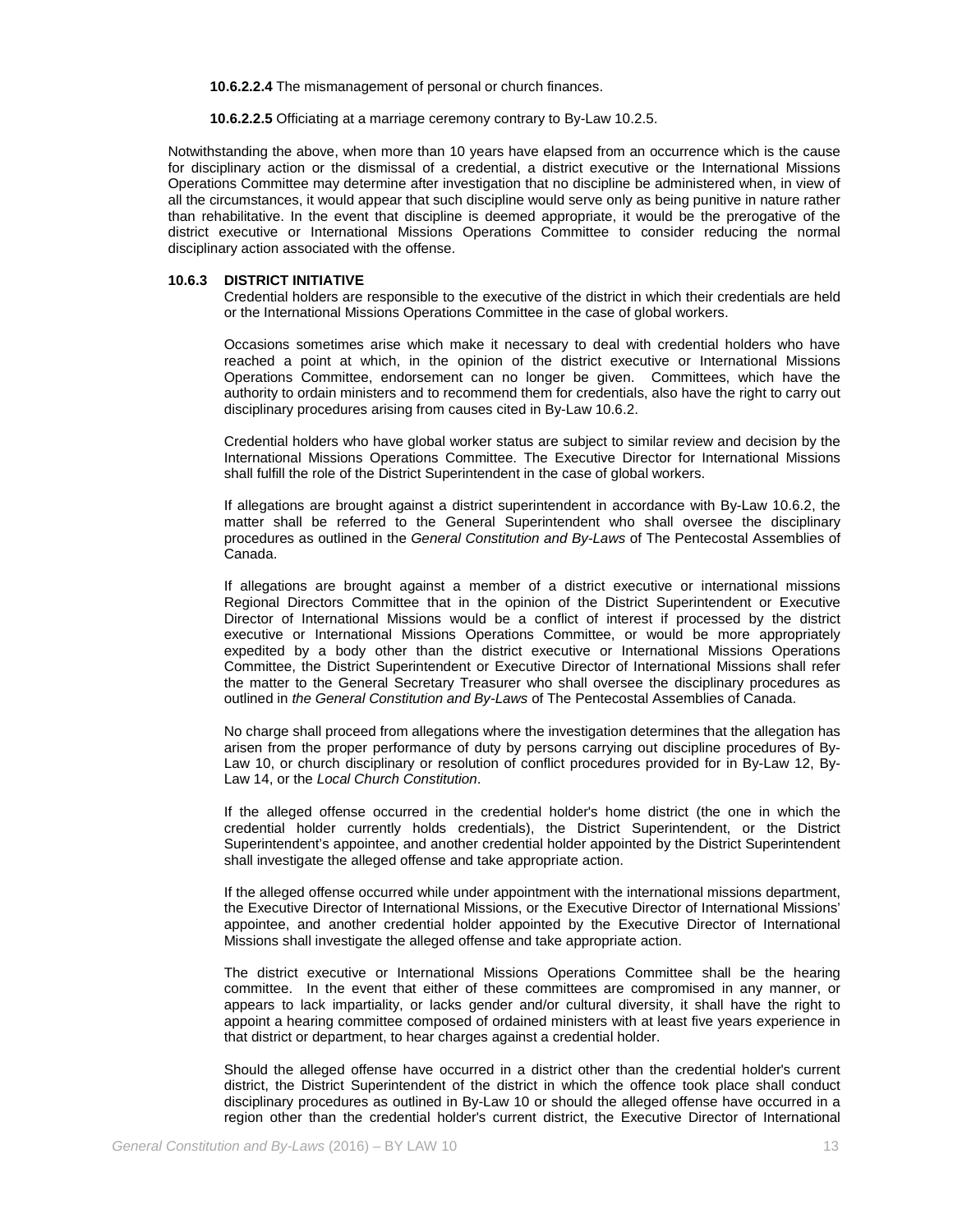**10.6.2.2.4** The mismanagement of personal or church finances.

**10.6.2.2.5** Officiating at a marriage ceremony contrary to By-Law 10.2.5.

Notwithstanding the above, when more than 10 years have elapsed from an occurrence which is the cause for disciplinary action or the dismissal of a credential, a district executive or the International Missions Operations Committee may determine after investigation that no discipline be administered when, in view of all the circumstances, it would appear that such discipline would serve only as being punitive in nature rather than rehabilitative. In the event that discipline is deemed appropriate, it would be the prerogative of the district executive or International Missions Operations Committee to consider reducing the normal disciplinary action associated with the offense.

#### **10.6.3 DISTRICT INITIATIVE**

Credential holders are responsible to the executive of the district in which their credentials are held or the International Missions Operations Committee in the case of global workers.

Occasions sometimes arise which make it necessary to deal with credential holders who have reached a point at which, in the opinion of the district executive or International Missions Operations Committee, endorsement can no longer be given. Committees, which have the authority to ordain ministers and to recommend them for credentials, also have the right to carry out disciplinary procedures arising from causes cited in By-Law 10.6.2.

Credential holders who have global worker status are subject to similar review and decision by the International Missions Operations Committee. The Executive Director for International Missions shall fulfill the role of the District Superintendent in the case of global workers.

If allegations are brought against a district superintendent in accordance with By-Law 10.6.2, the matter shall be referred to the General Superintendent who shall oversee the disciplinary procedures as outlined in the *General Constitution and By-Laws* of The Pentecostal Assemblies of Canada.

If allegations are brought against a member of a district executive or international missions Regional Directors Committee that in the opinion of the District Superintendent or Executive Director of International Missions would be a conflict of interest if processed by the district executive or International Missions Operations Committee, or would be more appropriately expedited by a body other than the district executive or International Missions Operations Committee, the District Superintendent or Executive Director of International Missions shall refer the matter to the General Secretary Treasurer who shall oversee the disciplinary procedures as outlined in *the General Constitution and By-Laws* of The Pentecostal Assemblies of Canada.

No charge shall proceed from allegations where the investigation determines that the allegation has arisen from the proper performance of duty by persons carrying out discipline procedures of By-Law 10, or church disciplinary or resolution of conflict procedures provided for in By-Law 12, By-Law 14, or the *Local Church Constitution*.

If the alleged offense occurred in the credential holder's home district (the one in which the credential holder currently holds credentials), the District Superintendent, or the District Superintendent's appointee, and another credential holder appointed by the District Superintendent shall investigate the alleged offense and take appropriate action.

If the alleged offense occurred while under appointment with the international missions department, the Executive Director of International Missions, or the Executive Director of International Missions' appointee, and another credential holder appointed by the Executive Director of International Missions shall investigate the alleged offense and take appropriate action.

The district executive or International Missions Operations Committee shall be the hearing committee. In the event that either of these committees are compromised in any manner, or appears to lack impartiality, or lacks gender and/or cultural diversity, it shall have the right to appoint a hearing committee composed of ordained ministers with at least five years experience in that district or department, to hear charges against a credential holder.

Should the alleged offense have occurred in a district other than the credential holder's current district, the District Superintendent of the district in which the offence took place shall conduct disciplinary procedures as outlined in By-Law 10 or should the alleged offense have occurred in a region other than the credential holder's current district, the Executive Director of International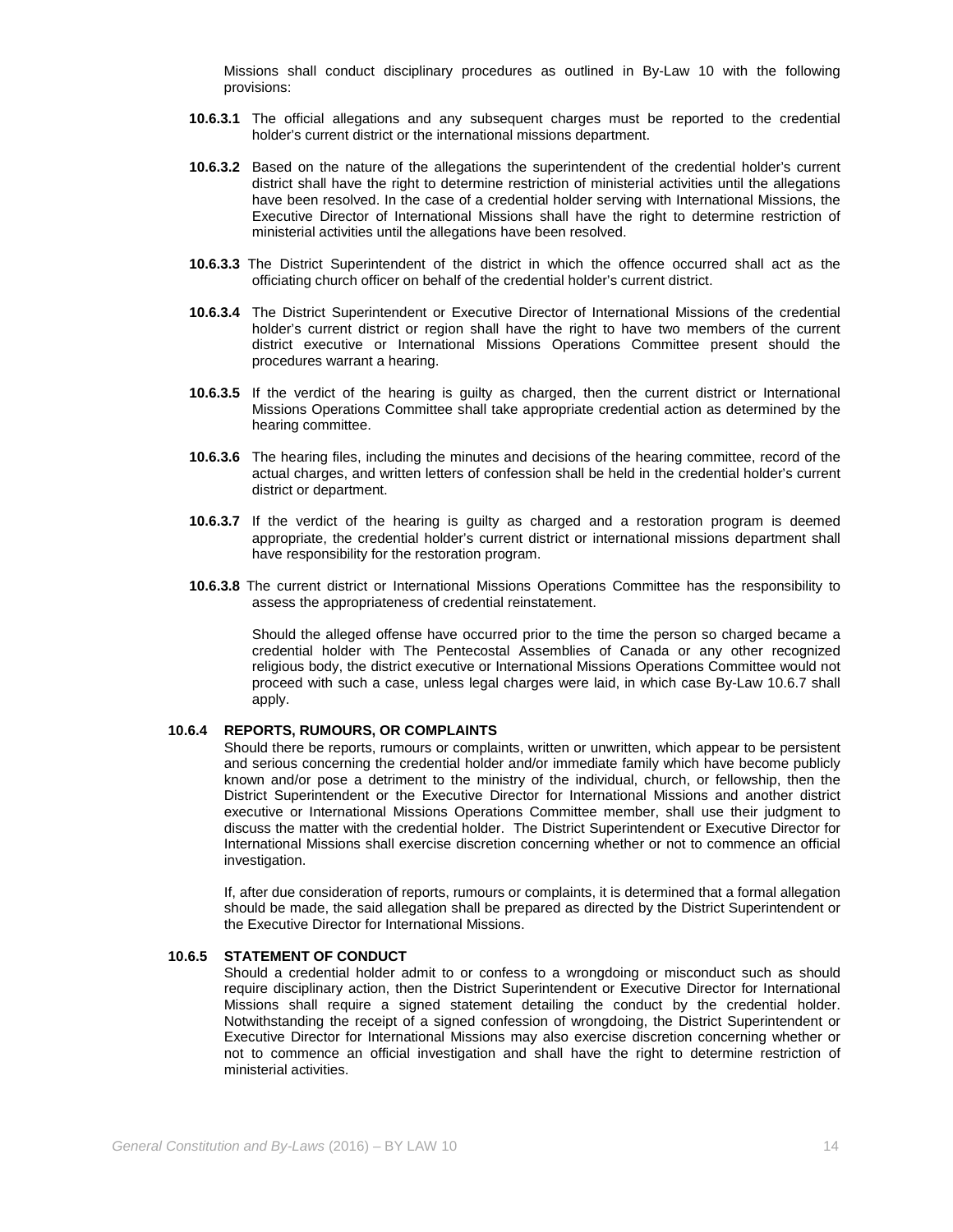Missions shall conduct disciplinary procedures as outlined in By-Law 10 with the following provisions:

- **10.6.3.1** The official allegations and any subsequent charges must be reported to the credential holder's current district or the international missions department.
- **10.6.3.2** Based on the nature of the allegations the superintendent of the credential holder's current district shall have the right to determine restriction of ministerial activities until the allegations have been resolved. In the case of a credential holder serving with International Missions, the Executive Director of International Missions shall have the right to determine restriction of ministerial activities until the allegations have been resolved.
- **10.6.3.3** The District Superintendent of the district in which the offence occurred shall act as the officiating church officer on behalf of the credential holder's current district.
- **10.6.3.4** The District Superintendent or Executive Director of International Missions of the credential holder's current district or region shall have the right to have two members of the current district executive or International Missions Operations Committee present should the procedures warrant a hearing.
- **10.6.3.5** If the verdict of the hearing is guilty as charged, then the current district or International Missions Operations Committee shall take appropriate credential action as determined by the hearing committee.
- **10.6.3.6** The hearing files, including the minutes and decisions of the hearing committee, record of the actual charges, and written letters of confession shall be held in the credential holder's current district or department.
- **10.6.3.7** If the verdict of the hearing is guilty as charged and a restoration program is deemed appropriate, the credential holder's current district or international missions department shall have responsibility for the restoration program.
- **10.6.3.8** The current district or International Missions Operations Committee has the responsibility to assess the appropriateness of credential reinstatement.

Should the alleged offense have occurred prior to the time the person so charged became a credential holder with The Pentecostal Assemblies of Canada or any other recognized religious body, the district executive or International Missions Operations Committee would not proceed with such a case, unless legal charges were laid, in which case By-Law 10.6.7 shall apply.

#### **10.6.4 REPORTS, RUMOURS, OR COMPLAINTS**

Should there be reports, rumours or complaints, written or unwritten, which appear to be persistent and serious concerning the credential holder and/or immediate family which have become publicly known and/or pose a detriment to the ministry of the individual, church, or fellowship, then the District Superintendent or the Executive Director for International Missions and another district executive or International Missions Operations Committee member, shall use their judgment to discuss the matter with the credential holder. The District Superintendent or Executive Director for International Missions shall exercise discretion concerning whether or not to commence an official investigation.

If, after due consideration of reports, rumours or complaints, it is determined that a formal allegation should be made, the said allegation shall be prepared as directed by the District Superintendent or the Executive Director for International Missions.

#### **10.6.5 STATEMENT OF CONDUCT**

Should a credential holder admit to or confess to a wrongdoing or misconduct such as should require disciplinary action, then the District Superintendent or Executive Director for International Missions shall require a signed statement detailing the conduct by the credential holder. Notwithstanding the receipt of a signed confession of wrongdoing, the District Superintendent or Executive Director for International Missions may also exercise discretion concerning whether or not to commence an official investigation and shall have the right to determine restriction of ministerial activities.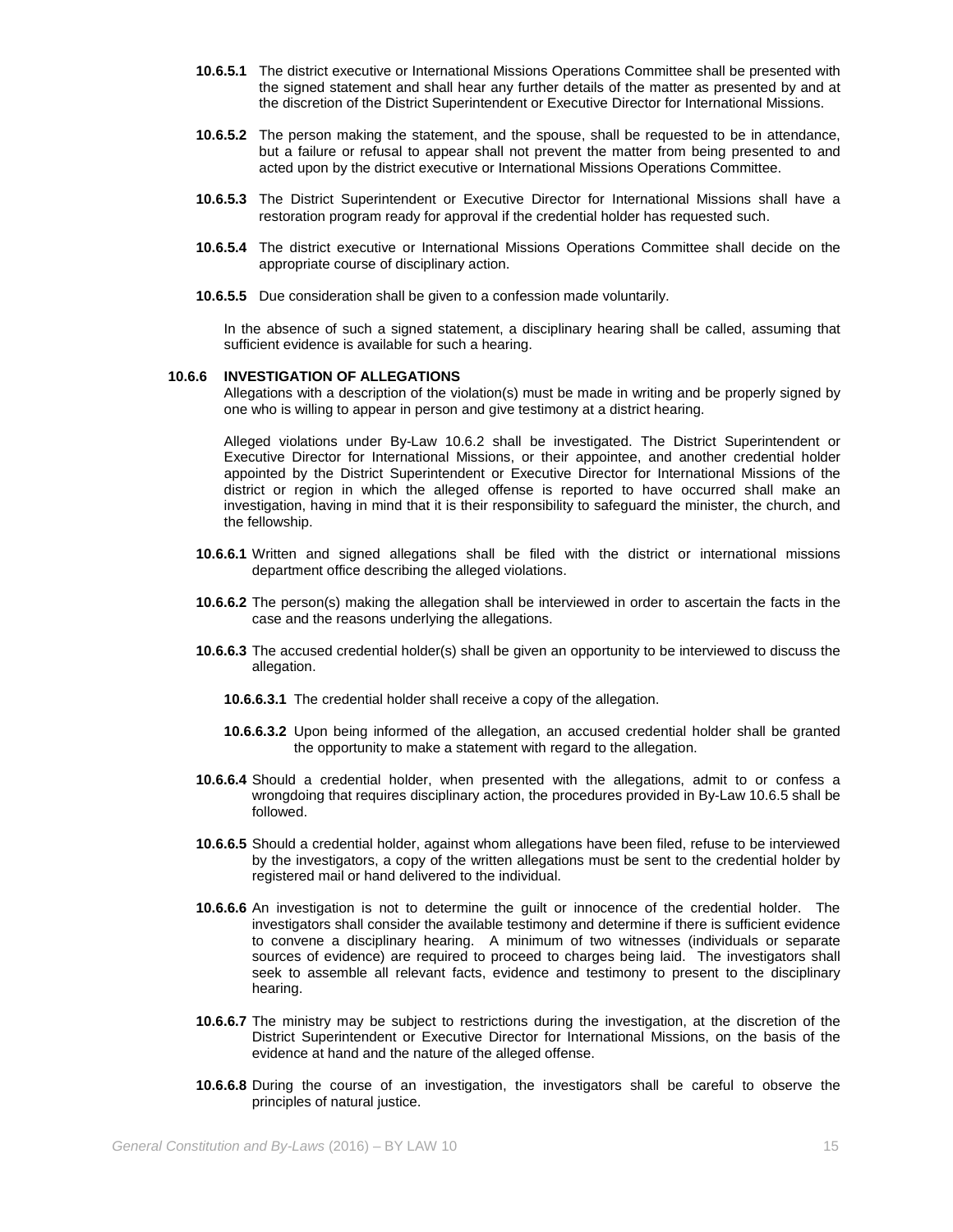- **10.6.5.1** The district executive or International Missions Operations Committee shall be presented with the signed statement and shall hear any further details of the matter as presented by and at the discretion of the District Superintendent or Executive Director for International Missions.
- **10.6.5.2** The person making the statement, and the spouse, shall be requested to be in attendance, but a failure or refusal to appear shall not prevent the matter from being presented to and acted upon by the district executive or International Missions Operations Committee.
- **10.6.5.3** The District Superintendent or Executive Director for International Missions shall have a restoration program ready for approval if the credential holder has requested such.
- **10.6.5.4** The district executive or International Missions Operations Committee shall decide on the appropriate course of disciplinary action.
- **10.6.5.5** Due consideration shall be given to a confession made voluntarily.

In the absence of such a signed statement, a disciplinary hearing shall be called, assuming that sufficient evidence is available for such a hearing.

### **10.6.6 INVESTIGATION OF ALLEGATIONS**

Allegations with a description of the violation(s) must be made in writing and be properly signed by one who is willing to appear in person and give testimony at a district hearing.

Alleged violations under By-Law 10.6.2 shall be investigated. The District Superintendent or Executive Director for International Missions, or their appointee, and another credential holder appointed by the District Superintendent or Executive Director for International Missions of the district or region in which the alleged offense is reported to have occurred shall make an investigation, having in mind that it is their responsibility to safeguard the minister, the church, and the fellowship.

- **10.6.6.1** Written and signed allegations shall be filed with the district or international missions department office describing the alleged violations.
- **10.6.6.2** The person(s) making the allegation shall be interviewed in order to ascertain the facts in the case and the reasons underlying the allegations.
- **10.6.6.3** The accused credential holder(s) shall be given an opportunity to be interviewed to discuss the allegation.
	- **10.6.6.3.1** The credential holder shall receive a copy of the allegation.
	- **10.6.6.3.2** Upon being informed of the allegation, an accused credential holder shall be granted the opportunity to make a statement with regard to the allegation.
- **10.6.6.4** Should a credential holder, when presented with the allegations, admit to or confess a wrongdoing that requires disciplinary action, the procedures provided in By-Law 10.6.5 shall be followed.
- **10.6.6.5** Should a credential holder, against whom allegations have been filed, refuse to be interviewed by the investigators, a copy of the written allegations must be sent to the credential holder by registered mail or hand delivered to the individual.
- **10.6.6.6** An investigation is not to determine the guilt or innocence of the credential holder. The investigators shall consider the available testimony and determine if there is sufficient evidence to convene a disciplinary hearing. A minimum of two witnesses (individuals or separate sources of evidence) are required to proceed to charges being laid. The investigators shall seek to assemble all relevant facts, evidence and testimony to present to the disciplinary hearing.
- **10.6.6.7** The ministry may be subject to restrictions during the investigation, at the discretion of the District Superintendent or Executive Director for International Missions, on the basis of the evidence at hand and the nature of the alleged offense.
- **10.6.6.8** During the course of an investigation, the investigators shall be careful to observe the principles of natural justice.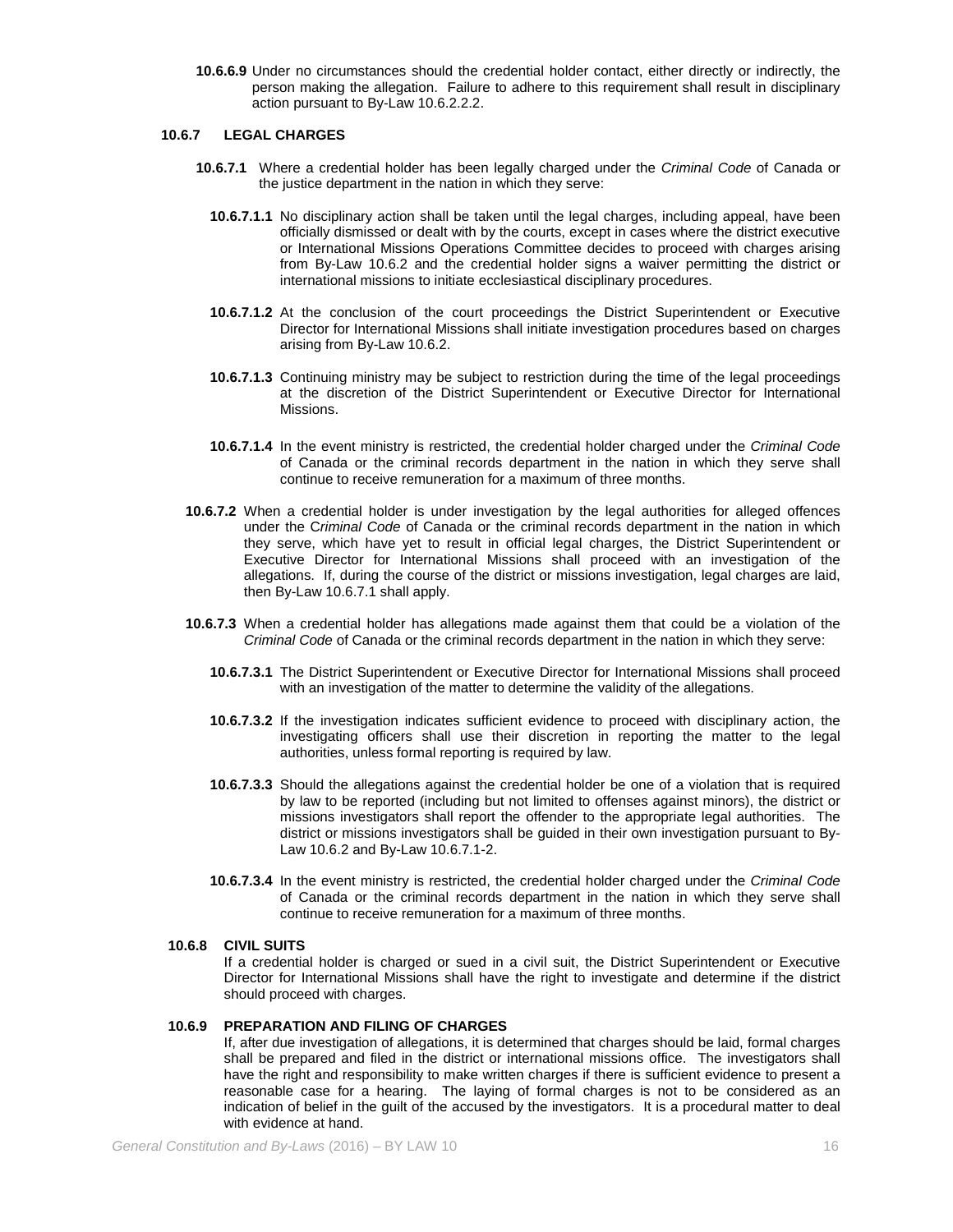**10.6.6.9** Under no circumstances should the credential holder contact, either directly or indirectly, the person making the allegation. Failure to adhere to this requirement shall result in disciplinary action pursuant to By-Law 10.6.2.2.2.

#### **10.6.7 LEGAL CHARGES**

- **10.6.7.1** Where a credential holder has been legally charged under the *Criminal Code* of Canada or the justice department in the nation in which they serve:
	- **10.6.7.1.1** No disciplinary action shall be taken until the legal charges, including appeal, have been officially dismissed or dealt with by the courts, except in cases where the district executive or International Missions Operations Committee decides to proceed with charges arising from By-Law 10.6.2 and the credential holder signs a waiver permitting the district or international missions to initiate ecclesiastical disciplinary procedures.
	- **10.6.7.1.2** At the conclusion of the court proceedings the District Superintendent or Executive Director for International Missions shall initiate investigation procedures based on charges arising from By-Law 10.6.2.
	- **10.6.7.1.3** Continuing ministry may be subject to restriction during the time of the legal proceedings at the discretion of the District Superintendent or Executive Director for International Missions.
	- **10.6.7.1.4** In the event ministry is restricted, the credential holder charged under the *Criminal Code* of Canada or the criminal records department in the nation in which they serve shall continue to receive remuneration for a maximum of three months.
- **10.6.7.2** When a credential holder is under investigation by the legal authorities for alleged offences under the C*riminal Code* of Canada or the criminal records department in the nation in which they serve, which have yet to result in official legal charges, the District Superintendent or Executive Director for International Missions shall proceed with an investigation of the allegations. If, during the course of the district or missions investigation, legal charges are laid, then By-Law 10.6.7.1 shall apply.
- **10.6.7.3** When a credential holder has allegations made against them that could be a violation of the *Criminal Code* of Canada or the criminal records department in the nation in which they serve:
	- **10.6.7.3.1** The District Superintendent or Executive Director for International Missions shall proceed with an investigation of the matter to determine the validity of the allegations.
	- **10.6.7.3.2** If the investigation indicates sufficient evidence to proceed with disciplinary action, the investigating officers shall use their discretion in reporting the matter to the legal authorities, unless formal reporting is required by law.
	- **10.6.7.3.3** Should the allegations against the credential holder be one of a violation that is required by law to be reported (including but not limited to offenses against minors), the district or missions investigators shall report the offender to the appropriate legal authorities. The district or missions investigators shall be guided in their own investigation pursuant to By-Law 10.6.2 and By-Law 10.6.7.1-2.
	- **10.6.7.3.4** In the event ministry is restricted, the credential holder charged under the *Criminal Code* of Canada or the criminal records department in the nation in which they serve shall continue to receive remuneration for a maximum of three months.

### **10.6.8 CIVIL SUITS**

If a credential holder is charged or sued in a civil suit, the District Superintendent or Executive Director for International Missions shall have the right to investigate and determine if the district should proceed with charges.

# **10.6.9 PREPARATION AND FILING OF CHARGES**

If, after due investigation of allegations, it is determined that charges should be laid, formal charges shall be prepared and filed in the district or international missions office. The investigators shall have the right and responsibility to make written charges if there is sufficient evidence to present a reasonable case for a hearing. The laying of formal charges is not to be considered as an indication of belief in the guilt of the accused by the investigators. It is a procedural matter to deal with evidence at hand.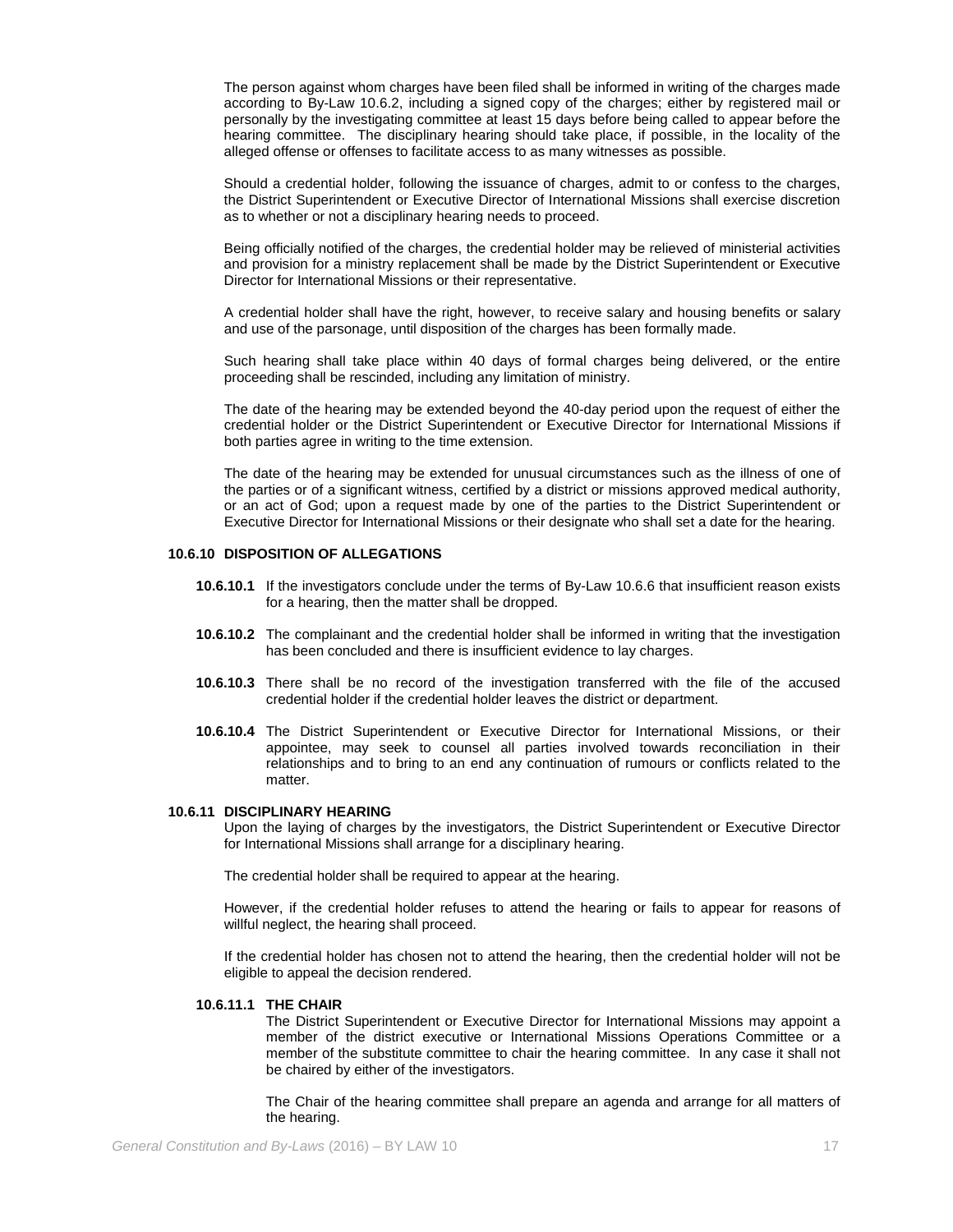The person against whom charges have been filed shall be informed in writing of the charges made according to By-Law 10.6.2, including a signed copy of the charges; either by registered mail or personally by the investigating committee at least 15 days before being called to appear before the hearing committee. The disciplinary hearing should take place, if possible, in the locality of the alleged offense or offenses to facilitate access to as many witnesses as possible.

Should a credential holder, following the issuance of charges, admit to or confess to the charges, the District Superintendent or Executive Director of International Missions shall exercise discretion as to whether or not a disciplinary hearing needs to proceed.

Being officially notified of the charges, the credential holder may be relieved of ministerial activities and provision for a ministry replacement shall be made by the District Superintendent or Executive Director for International Missions or their representative.

A credential holder shall have the right, however, to receive salary and housing benefits or salary and use of the parsonage, until disposition of the charges has been formally made.

Such hearing shall take place within 40 days of formal charges being delivered, or the entire proceeding shall be rescinded, including any limitation of ministry.

The date of the hearing may be extended beyond the 40-day period upon the request of either the credential holder or the District Superintendent or Executive Director for International Missions if both parties agree in writing to the time extension.

The date of the hearing may be extended for unusual circumstances such as the illness of one of the parties or of a significant witness, certified by a district or missions approved medical authority, or an act of God; upon a request made by one of the parties to the District Superintendent or Executive Director for International Missions or their designate who shall set a date for the hearing.

#### **10.6.10 DISPOSITION OF ALLEGATIONS**

- **10.6.10.1** If the investigators conclude under the terms of By-Law 10.6.6 that insufficient reason exists for a hearing, then the matter shall be dropped.
- **10.6.10.2** The complainant and the credential holder shall be informed in writing that the investigation has been concluded and there is insufficient evidence to lay charges.
- **10.6.10.3** There shall be no record of the investigation transferred with the file of the accused credential holder if the credential holder leaves the district or department.
- **10.6.10.4** The District Superintendent or Executive Director for International Missions, or their appointee, may seek to counsel all parties involved towards reconciliation in their relationships and to bring to an end any continuation of rumours or conflicts related to the matter.

### **10.6.11 DISCIPLINARY HEARING**

Upon the laying of charges by the investigators, the District Superintendent or Executive Director for International Missions shall arrange for a disciplinary hearing.

The credential holder shall be required to appear at the hearing.

However, if the credential holder refuses to attend the hearing or fails to appear for reasons of willful neglect, the hearing shall proceed.

If the credential holder has chosen not to attend the hearing, then the credential holder will not be eligible to appeal the decision rendered.

#### **10.6.11.1 THE CHAIR**

The District Superintendent or Executive Director for International Missions may appoint a member of the district executive or International Missions Operations Committee or a member of the substitute committee to chair the hearing committee. In any case it shall not be chaired by either of the investigators.

The Chair of the hearing committee shall prepare an agenda and arrange for all matters of the hearing.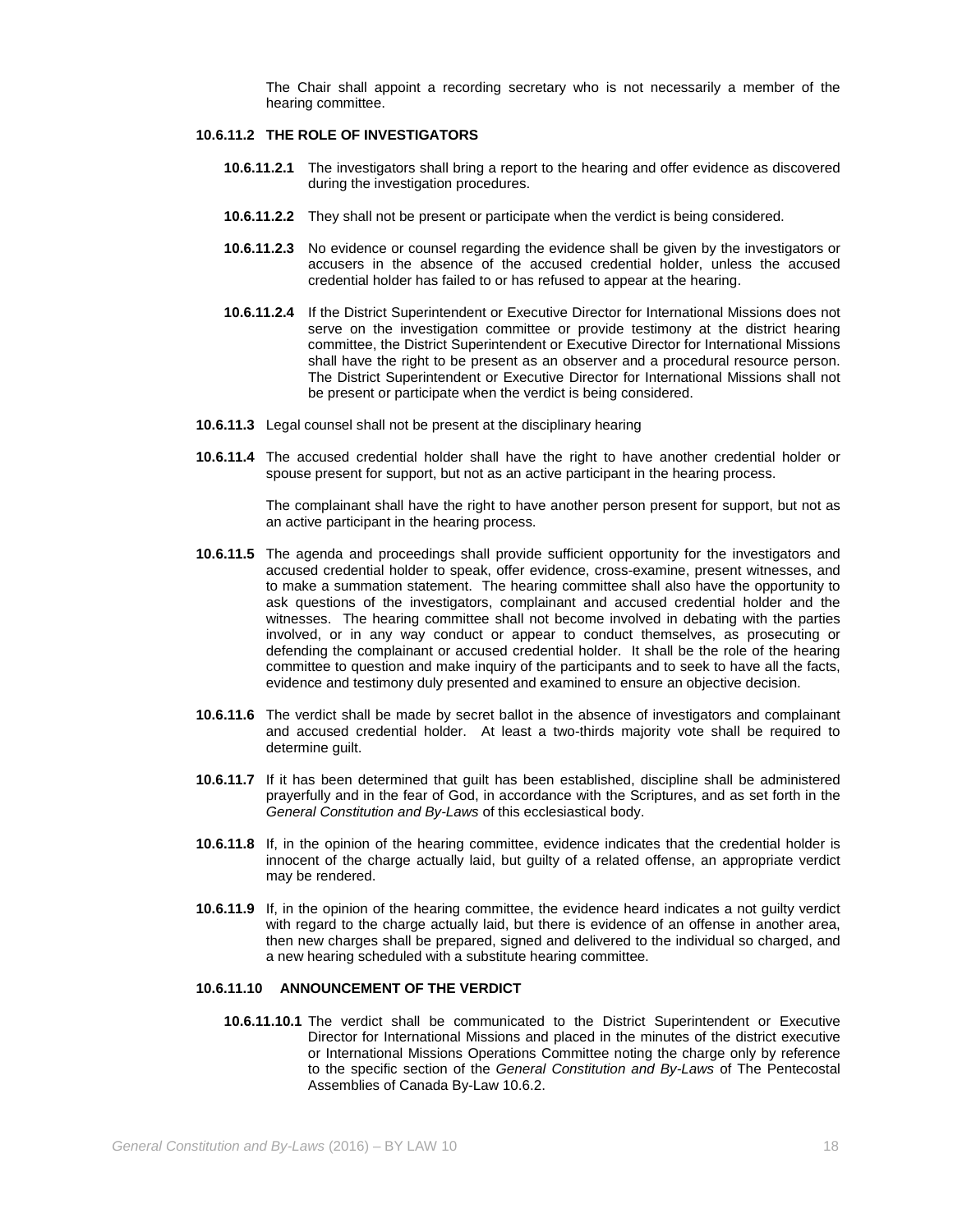The Chair shall appoint a recording secretary who is not necessarily a member of the hearing committee.

#### **10.6.11.2 THE ROLE OF INVESTIGATORS**

- **10.6.11.2.1** The investigators shall bring a report to the hearing and offer evidence as discovered during the investigation procedures.
- **10.6.11.2.2** They shall not be present or participate when the verdict is being considered.
- **10.6.11.2.3** No evidence or counsel regarding the evidence shall be given by the investigators or accusers in the absence of the accused credential holder, unless the accused credential holder has failed to or has refused to appear at the hearing.
- **10.6.11.2.4** If the District Superintendent or Executive Director for International Missions does not serve on the investigation committee or provide testimony at the district hearing committee, the District Superintendent or Executive Director for International Missions shall have the right to be present as an observer and a procedural resource person. The District Superintendent or Executive Director for International Missions shall not be present or participate when the verdict is being considered.
- **10.6.11.3** Legal counsel shall not be present at the disciplinary hearing
- **10.6.11.4** The accused credential holder shall have the right to have another credential holder or spouse present for support, but not as an active participant in the hearing process.

The complainant shall have the right to have another person present for support, but not as an active participant in the hearing process.

- **10.6.11.5** The agenda and proceedings shall provide sufficient opportunity for the investigators and accused credential holder to speak, offer evidence, cross-examine, present witnesses, and to make a summation statement. The hearing committee shall also have the opportunity to ask questions of the investigators, complainant and accused credential holder and the witnesses. The hearing committee shall not become involved in debating with the parties involved, or in any way conduct or appear to conduct themselves, as prosecuting or defending the complainant or accused credential holder. It shall be the role of the hearing committee to question and make inquiry of the participants and to seek to have all the facts, evidence and testimony duly presented and examined to ensure an objective decision.
- **10.6.11.6** The verdict shall be made by secret ballot in the absence of investigators and complainant and accused credential holder. At least a two-thirds majority vote shall be required to determine quilt.
- **10.6.11.7** If it has been determined that guilt has been established, discipline shall be administered prayerfully and in the fear of God, in accordance with the Scriptures, and as set forth in the *General Constitution and By-Laws* of this ecclesiastical body.
- **10.6.11.8** If, in the opinion of the hearing committee, evidence indicates that the credential holder is innocent of the charge actually laid, but guilty of a related offense, an appropriate verdict may be rendered.
- **10.6.11.9** If, in the opinion of the hearing committee, the evidence heard indicates a not guilty verdict with regard to the charge actually laid, but there is evidence of an offense in another area, then new charges shall be prepared, signed and delivered to the individual so charged, and a new hearing scheduled with a substitute hearing committee.

#### **10.6.11.10 ANNOUNCEMENT OF THE VERDICT**

**10.6.11.10.1** The verdict shall be communicated to the District Superintendent or Executive Director for International Missions and placed in the minutes of the district executive or International Missions Operations Committee noting the charge only by reference to the specific section of the *General Constitution and By-Laws* of The Pentecostal Assemblies of Canada By-Law 10.6.2.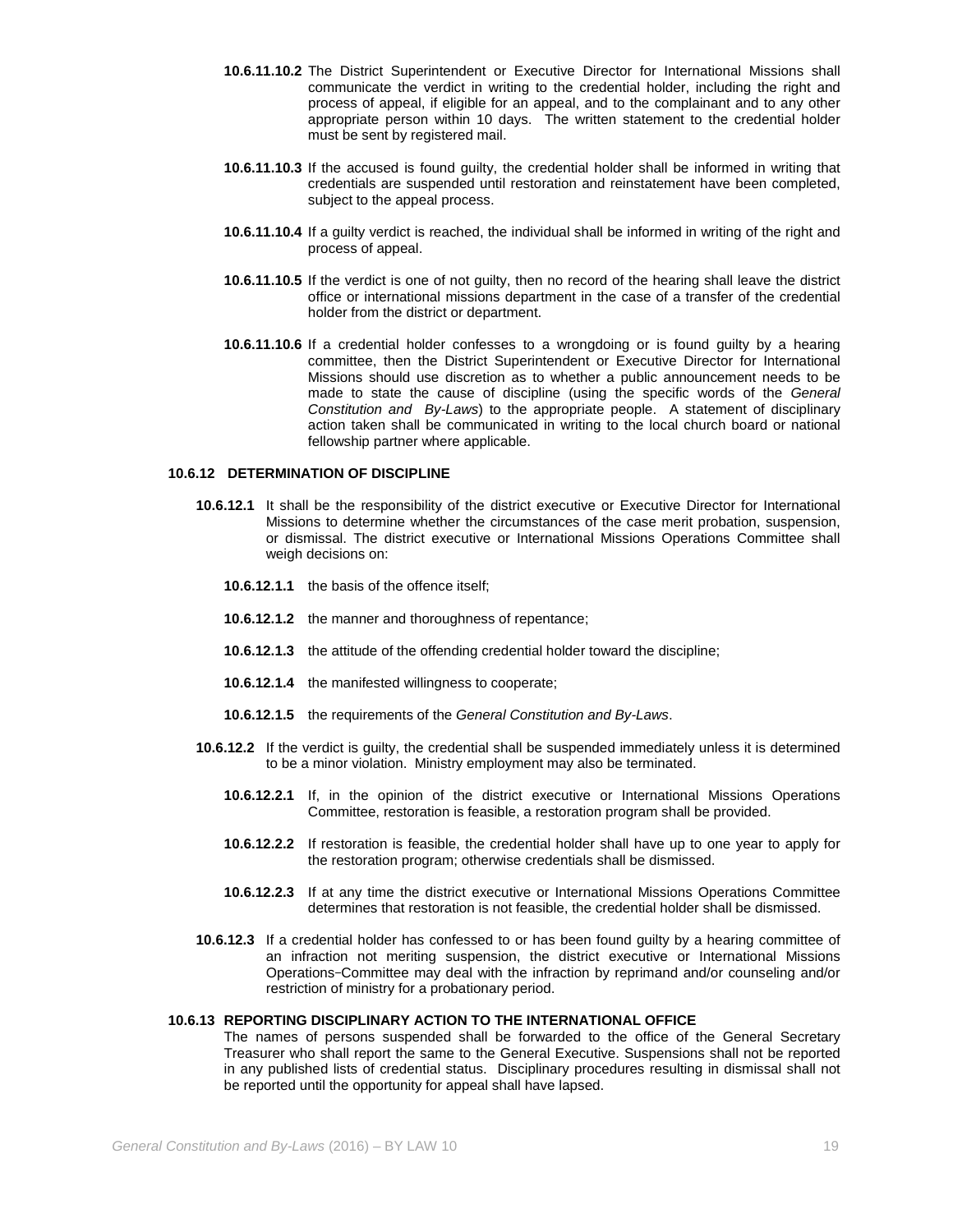- **10.6.11.10.2** The District Superintendent or Executive Director for International Missions shall communicate the verdict in writing to the credential holder, including the right and process of appeal, if eligible for an appeal, and to the complainant and to any other appropriate person within 10 days. The written statement to the credential holder must be sent by registered mail.
- **10.6.11.10.3** If the accused is found guilty, the credential holder shall be informed in writing that credentials are suspended until restoration and reinstatement have been completed, subject to the appeal process.
- **10.6.11.10.4** If a guilty verdict is reached, the individual shall be informed in writing of the right and process of appeal.
- **10.6.11.10.5** If the verdict is one of not guilty, then no record of the hearing shall leave the district office or international missions department in the case of a transfer of the credential holder from the district or department.
- **10.6.11.10.6** If a credential holder confesses to a wrongdoing or is found guilty by a hearing committee, then the District Superintendent or Executive Director for International Missions should use discretion as to whether a public announcement needs to be made to state the cause of discipline (using the specific words of the *General Constitution and By-Laws*) to the appropriate people. A statement of disciplinary action taken shall be communicated in writing to the local church board or national fellowship partner where applicable.

### **10.6.12 DETERMINATION OF DISCIPLINE**

- **10.6.12.1** It shall be the responsibility of the district executive or Executive Director for International Missions to determine whether the circumstances of the case merit probation, suspension, or dismissal. The district executive or International Missions Operations Committee shall weigh decisions on:
	- **10.6.12.1.1** the basis of the offence itself;
	- **10.6.12.1.2** the manner and thoroughness of repentance;
	- **10.6.12.1.3** the attitude of the offending credential holder toward the discipline;
	- **10.6.12.1.4** the manifested willingness to cooperate;
	- **10.6.12.1.5** the requirements of the *General Constitution and By-Laws*.
- **10.6.12.2** If the verdict is guilty, the credential shall be suspended immediately unless it is determined to be a minor violation. Ministry employment may also be terminated.
	- **10.6.12.2.1** If, in the opinion of the district executive or International Missions Operations Committee, restoration is feasible, a restoration program shall be provided.
	- **10.6.12.2.2** If restoration is feasible, the credential holder shall have up to one year to apply for the restoration program; otherwise credentials shall be dismissed.
	- **10.6.12.2.3** If at any time the district executive or International Missions Operations Committee determines that restoration is not feasible, the credential holder shall be dismissed.
- **10.6.12.3** If a credential holder has confessed to or has been found guilty by a hearing committee of an infraction not meriting suspension, the district executive or International Missions Operations Committee may deal with the infraction by reprimand and/or counseling and/or restriction of ministry for a probationary period.

# **10.6.13 REPORTING DISCIPLINARY ACTION TO THE INTERNATIONAL OFFICE**

The names of persons suspended shall be forwarded to the office of the General Secretary Treasurer who shall report the same to the General Executive. Suspensions shall not be reported in any published lists of credential status. Disciplinary procedures resulting in dismissal shall not be reported until the opportunity for appeal shall have lapsed.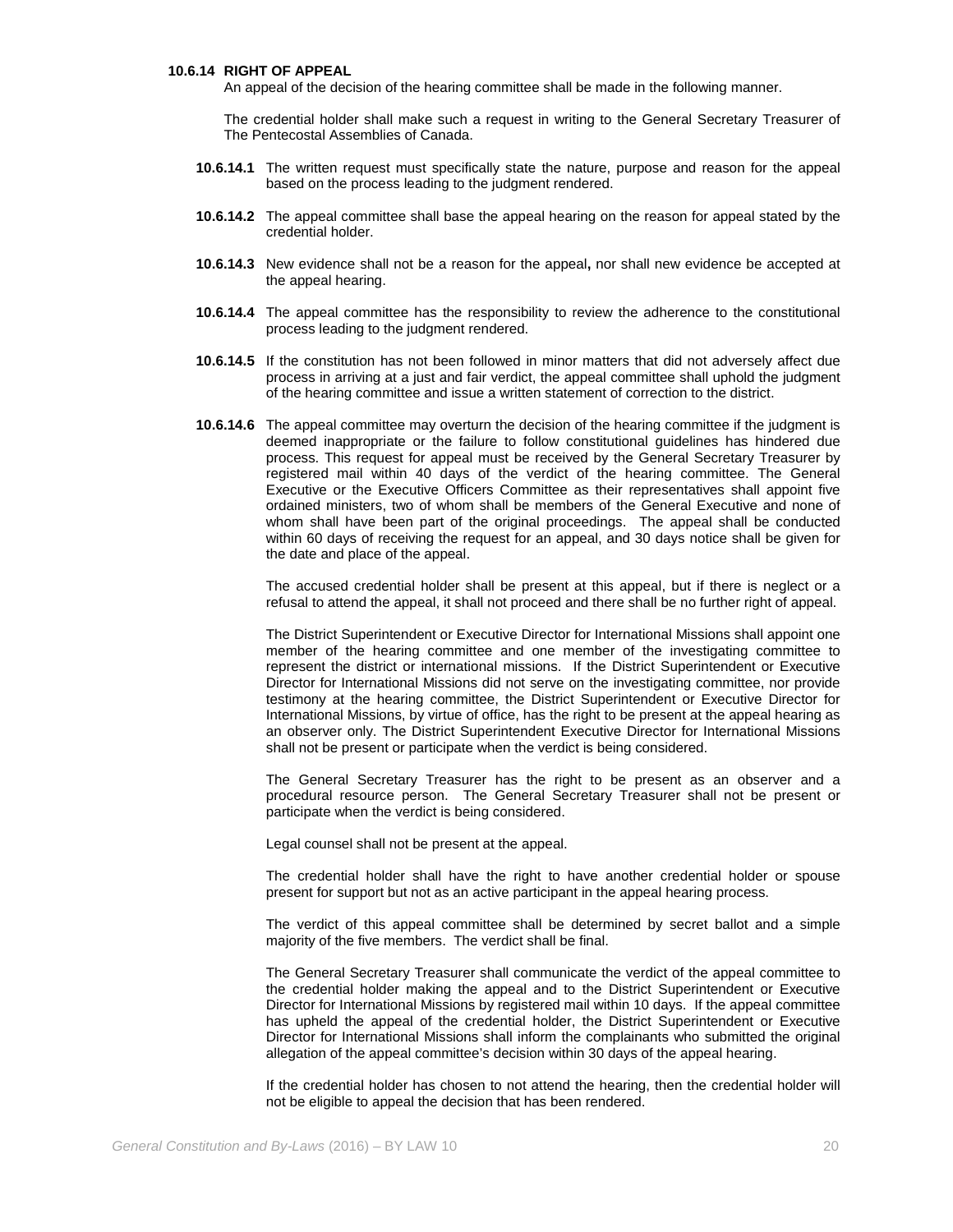#### **10.6.14 RIGHT OF APPEAL**

An appeal of the decision of the hearing committee shall be made in the following manner.

The credential holder shall make such a request in writing to the General Secretary Treasurer of The Pentecostal Assemblies of Canada.

- **10.6.14.1** The written request must specifically state the nature, purpose and reason for the appeal based on the process leading to the judgment rendered.
- **10.6.14.2** The appeal committee shall base the appeal hearing on the reason for appeal stated by the credential holder.
- **10.6.14.3** New evidence shall not be a reason for the appeal**,** nor shall new evidence be accepted at the appeal hearing.
- **10.6.14.4** The appeal committee has the responsibility to review the adherence to the constitutional process leading to the judgment rendered.
- **10.6.14.5** If the constitution has not been followed in minor matters that did not adversely affect due process in arriving at a just and fair verdict, the appeal committee shall uphold the judgment of the hearing committee and issue a written statement of correction to the district.
- **10.6.14.6** The appeal committee may overturn the decision of the hearing committee if the judgment is deemed inappropriate or the failure to follow constitutional guidelines has hindered due process. This request for appeal must be received by the General Secretary Treasurer by registered mail within 40 days of the verdict of the hearing committee. The General Executive or the Executive Officers Committee as their representatives shall appoint five ordained ministers, two of whom shall be members of the General Executive and none of whom shall have been part of the original proceedings. The appeal shall be conducted within 60 days of receiving the request for an appeal, and 30 days notice shall be given for the date and place of the appeal.

The accused credential holder shall be present at this appeal, but if there is neglect or a refusal to attend the appeal, it shall not proceed and there shall be no further right of appeal.

The District Superintendent or Executive Director for International Missions shall appoint one member of the hearing committee and one member of the investigating committee to represent the district or international missions. If the District Superintendent or Executive Director for International Missions did not serve on the investigating committee, nor provide testimony at the hearing committee, the District Superintendent or Executive Director for International Missions, by virtue of office, has the right to be present at the appeal hearing as an observer only. The District Superintendent Executive Director for International Missions shall not be present or participate when the verdict is being considered.

The General Secretary Treasurer has the right to be present as an observer and a procedural resource person. The General Secretary Treasurer shall not be present or participate when the verdict is being considered.

Legal counsel shall not be present at the appeal.

The credential holder shall have the right to have another credential holder or spouse present for support but not as an active participant in the appeal hearing process.

The verdict of this appeal committee shall be determined by secret ballot and a simple majority of the five members. The verdict shall be final.

The General Secretary Treasurer shall communicate the verdict of the appeal committee to the credential holder making the appeal and to the District Superintendent or Executive Director for International Missions by registered mail within 10 days. If the appeal committee has upheld the appeal of the credential holder, the District Superintendent or Executive Director for International Missions shall inform the complainants who submitted the original allegation of the appeal committee's decision within 30 days of the appeal hearing.

If the credential holder has chosen to not attend the hearing, then the credential holder will not be eligible to appeal the decision that has been rendered.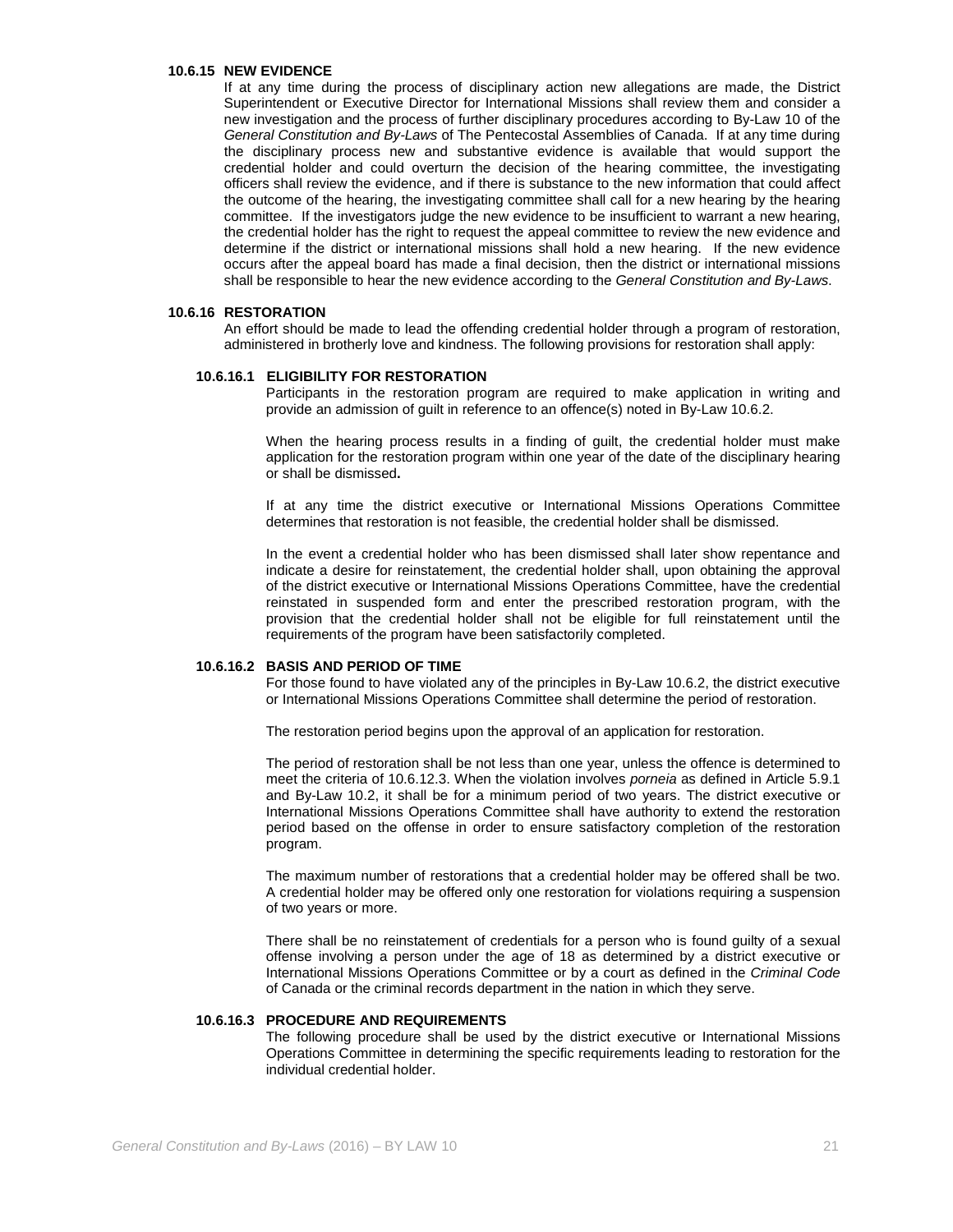#### **10.6.15 NEW EVIDENCE**

If at any time during the process of disciplinary action new allegations are made, the District Superintendent or Executive Director for International Missions shall review them and consider a new investigation and the process of further disciplinary procedures according to By-Law 10 of the *General Constitution and By-Laws* of The Pentecostal Assemblies of Canada. If at any time during the disciplinary process new and substantive evidence is available that would support the credential holder and could overturn the decision of the hearing committee, the investigating officers shall review the evidence, and if there is substance to the new information that could affect the outcome of the hearing, the investigating committee shall call for a new hearing by the hearing committee. If the investigators judge the new evidence to be insufficient to warrant a new hearing, the credential holder has the right to request the appeal committee to review the new evidence and determine if the district or international missions shall hold a new hearing. If the new evidence occurs after the appeal board has made a final decision, then the district or international missions shall be responsible to hear the new evidence according to the *General Constitution and By-Laws*.

#### **10.6.16 RESTORATION**

An effort should be made to lead the offending credential holder through a program of restoration, administered in brotherly love and kindness. The following provisions for restoration shall apply:

# **10.6.16.1 ELIGIBILITY FOR RESTORATION**

Participants in the restoration program are required to make application in writing and provide an admission of guilt in reference to an offence(s) noted in By-Law 10.6.2.

When the hearing process results in a finding of guilt, the credential holder must make application for the restoration program within one year of the date of the disciplinary hearing or shall be dismissed**.**

If at any time the district executive or International Missions Operations Committee determines that restoration is not feasible, the credential holder shall be dismissed.

In the event a credential holder who has been dismissed shall later show repentance and indicate a desire for reinstatement, the credential holder shall, upon obtaining the approval of the district executive or International Missions Operations Committee, have the credential reinstated in suspended form and enter the prescribed restoration program, with the provision that the credential holder shall not be eligible for full reinstatement until the requirements of the program have been satisfactorily completed.

### **10.6.16.2 BASIS AND PERIOD OF TIME**

For those found to have violated any of the principles in By-Law 10.6.2, the district executive or International Missions Operations Committee shall determine the period of restoration.

The restoration period begins upon the approval of an application for restoration.

The period of restoration shall be not less than one year, unless the offence is determined to meet the criteria of 10.6.12.3. When the violation involves *porneia* as defined in Article 5.9.1 and By-Law 10.2, it shall be for a minimum period of two years. The district executive or International Missions Operations Committee shall have authority to extend the restoration period based on the offense in order to ensure satisfactory completion of the restoration program.

The maximum number of restorations that a credential holder may be offered shall be two. A credential holder may be offered only one restoration for violations requiring a suspension of two years or more.

There shall be no reinstatement of credentials for a person who is found guilty of a sexual offense involving a person under the age of 18 as determined by a district executive or International Missions Operations Committee or by a court as defined in the *Criminal Code* of Canada or the criminal records department in the nation in which they serve.

#### **10.6.16.3 PROCEDURE AND REQUIREMENTS**

The following procedure shall be used by the district executive or International Missions Operations Committee in determining the specific requirements leading to restoration for the individual credential holder.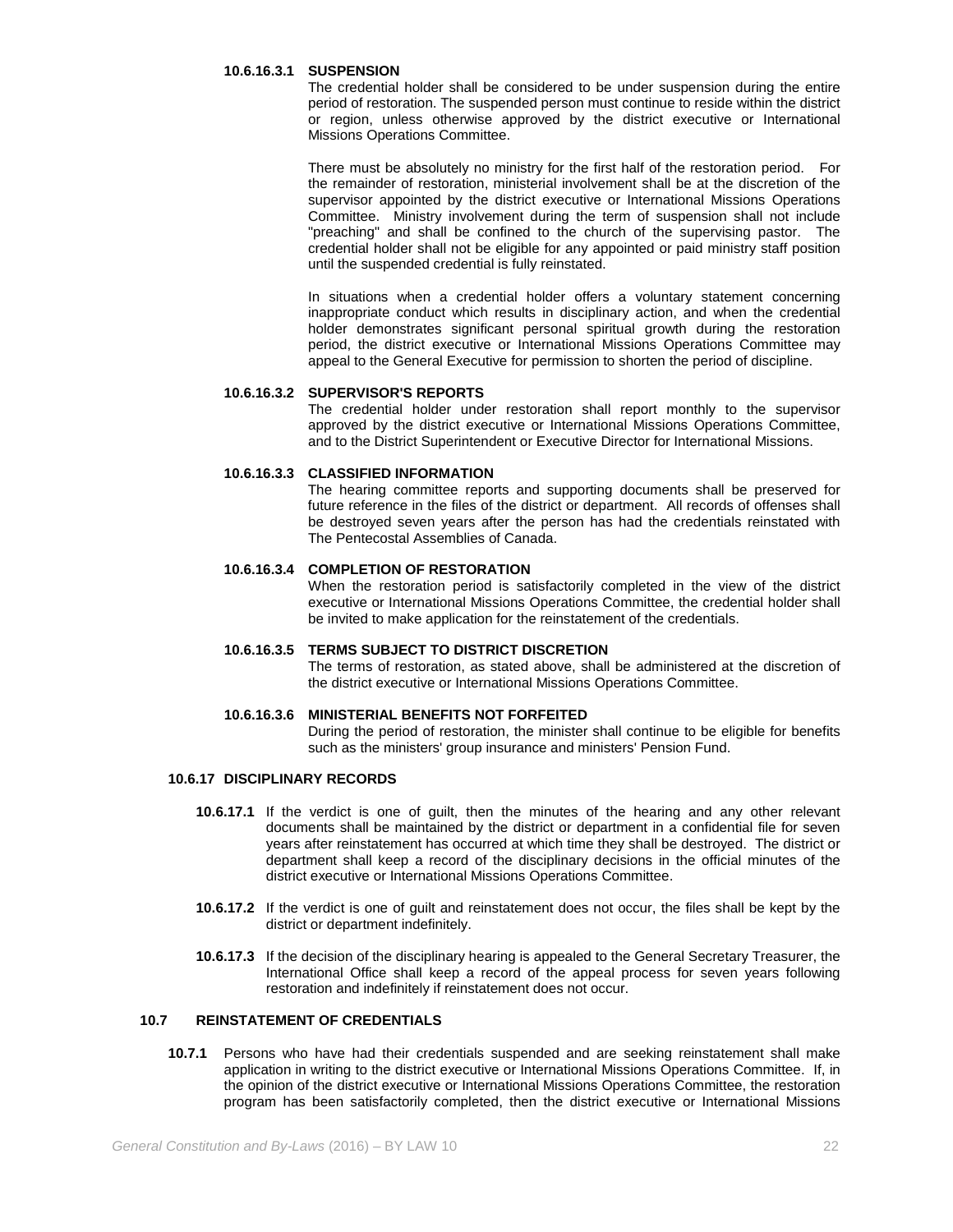#### **10.6.16.3.1 SUSPENSION**

The credential holder shall be considered to be under suspension during the entire period of restoration. The suspended person must continue to reside within the district or region, unless otherwise approved by the district executive or International Missions Operations Committee.

There must be absolutely no ministry for the first half of the restoration period. For the remainder of restoration, ministerial involvement shall be at the discretion of the supervisor appointed by the district executive or International Missions Operations Committee. Ministry involvement during the term of suspension shall not include "preaching" and shall be confined to the church of the supervising pastor. The credential holder shall not be eligible for any appointed or paid ministry staff position until the suspended credential is fully reinstated.

In situations when a credential holder offers a voluntary statement concerning inappropriate conduct which results in disciplinary action, and when the credential holder demonstrates significant personal spiritual growth during the restoration period, the district executive or International Missions Operations Committee may appeal to the General Executive for permission to shorten the period of discipline.

# **10.6.16.3.2 SUPERVISOR'S REPORTS**

The credential holder under restoration shall report monthly to the supervisor approved by the district executive or International Missions Operations Committee, and to the District Superintendent or Executive Director for International Missions.

## **10.6.16.3.3 CLASSIFIED INFORMATION**

The hearing committee reports and supporting documents shall be preserved for future reference in the files of the district or department. All records of offenses shall be destroyed seven years after the person has had the credentials reinstated with The Pentecostal Assemblies of Canada.

### **10.6.16.3.4 COMPLETION OF RESTORATION**

When the restoration period is satisfactorily completed in the view of the district executive or International Missions Operations Committee, the credential holder shall be invited to make application for the reinstatement of the credentials.

# **10.6.16.3.5 TERMS SUBJECT TO DISTRICT DISCRETION**

The terms of restoration, as stated above, shall be administered at the discretion of the district executive or International Missions Operations Committee.

#### **10.6.16.3.6 MINISTERIAL BENEFITS NOT FORFEITED**

During the period of restoration, the minister shall continue to be eligible for benefits such as the ministers' group insurance and ministers' Pension Fund.

### **10.6.17 DISCIPLINARY RECORDS**

- **10.6.17.1** If the verdict is one of guilt, then the minutes of the hearing and any other relevant documents shall be maintained by the district or department in a confidential file for seven years after reinstatement has occurred at which time they shall be destroyed. The district or department shall keep a record of the disciplinary decisions in the official minutes of the district executive or International Missions Operations Committee.
- **10.6.17.2** If the verdict is one of guilt and reinstatement does not occur, the files shall be kept by the district or department indefinitely.
- **10.6.17.3** If the decision of the disciplinary hearing is appealed to the General Secretary Treasurer, the International Office shall keep a record of the appeal process for seven years following restoration and indefinitely if reinstatement does not occur.

# **10.7 REINSTATEMENT OF CREDENTIALS**

**10.7.1** Persons who have had their credentials suspended and are seeking reinstatement shall make application in writing to the district executive or International Missions Operations Committee. If, in the opinion of the district executive or International Missions Operations Committee, the restoration program has been satisfactorily completed, then the district executive or International Missions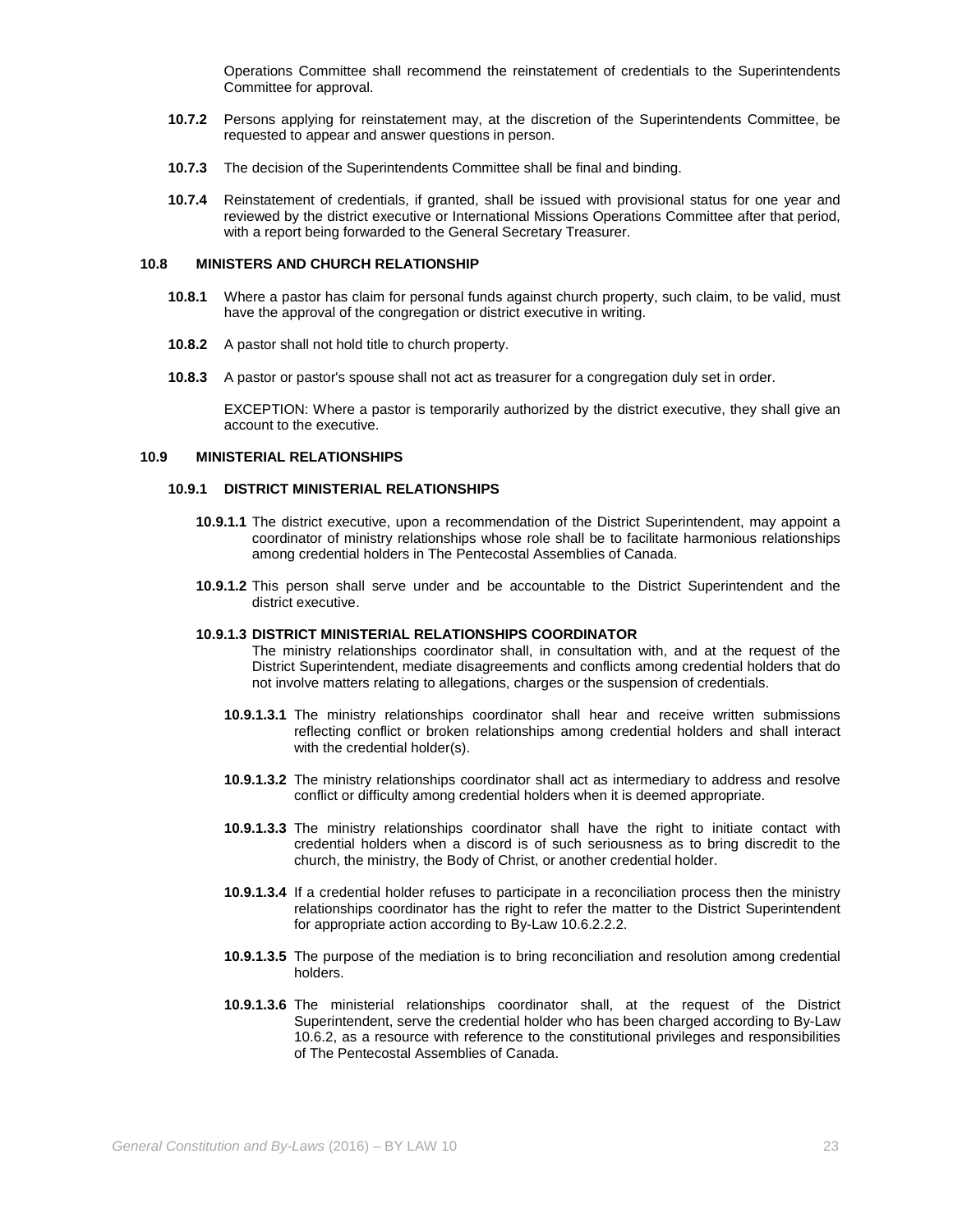Operations Committee shall recommend the reinstatement of credentials to the Superintendents Committee for approval.

- **10.7.2** Persons applying for reinstatement may, at the discretion of the Superintendents Committee, be requested to appear and answer questions in person.
- **10.7.3** The decision of the Superintendents Committee shall be final and binding.
- **10.7.4** Reinstatement of credentials, if granted, shall be issued with provisional status for one year and reviewed by the district executive or International Missions Operations Committee after that period, with a report being forwarded to the General Secretary Treasurer.

#### **10.8 MINISTERS AND CHURCH RELATIONSHIP**

- **10.8.1** Where a pastor has claim for personal funds against church property, such claim, to be valid, must have the approval of the congregation or district executive in writing.
- **10.8.2** A pastor shall not hold title to church property.
- **10.8.3** A pastor or pastor's spouse shall not act as treasurer for a congregation duly set in order.

EXCEPTION: Where a pastor is temporarily authorized by the district executive, they shall give an account to the executive.

### **10.9 MINISTERIAL RELATIONSHIPS**

### **10.9.1 DISTRICT MINISTERIAL RELATIONSHIPS**

- **10.9.1.1** The district executive, upon a recommendation of the District Superintendent, may appoint a coordinator of ministry relationships whose role shall be to facilitate harmonious relationships among credential holders in The Pentecostal Assemblies of Canada.
- **10.9.1.2** This person shall serve under and be accountable to the District Superintendent and the district executive.

### **10.9.1.3 DISTRICT MINISTERIAL RELATIONSHIPS COORDINATOR**

The ministry relationships coordinator shall, in consultation with, and at the request of the District Superintendent, mediate disagreements and conflicts among credential holders that do not involve matters relating to allegations, charges or the suspension of credentials.

- **10.9.1.3.1** The ministry relationships coordinator shall hear and receive written submissions reflecting conflict or broken relationships among credential holders and shall interact with the credential holder(s).
- **10.9.1.3.2** The ministry relationships coordinator shall act as intermediary to address and resolve conflict or difficulty among credential holders when it is deemed appropriate.
- **10.9.1.3.3** The ministry relationships coordinator shall have the right to initiate contact with credential holders when a discord is of such seriousness as to bring discredit to the church, the ministry, the Body of Christ, or another credential holder.
- **10.9.1.3.4** If a credential holder refuses to participate in a reconciliation process then the ministry relationships coordinator has the right to refer the matter to the District Superintendent for appropriate action according to By-Law 10.6.2.2.2.
- **10.9.1.3.5** The purpose of the mediation is to bring reconciliation and resolution among credential holders.
- **10.9.1.3.6** The ministerial relationships coordinator shall, at the request of the District Superintendent, serve the credential holder who has been charged according to By-Law 10.6.2, as a resource with reference to the constitutional privileges and responsibilities of The Pentecostal Assemblies of Canada.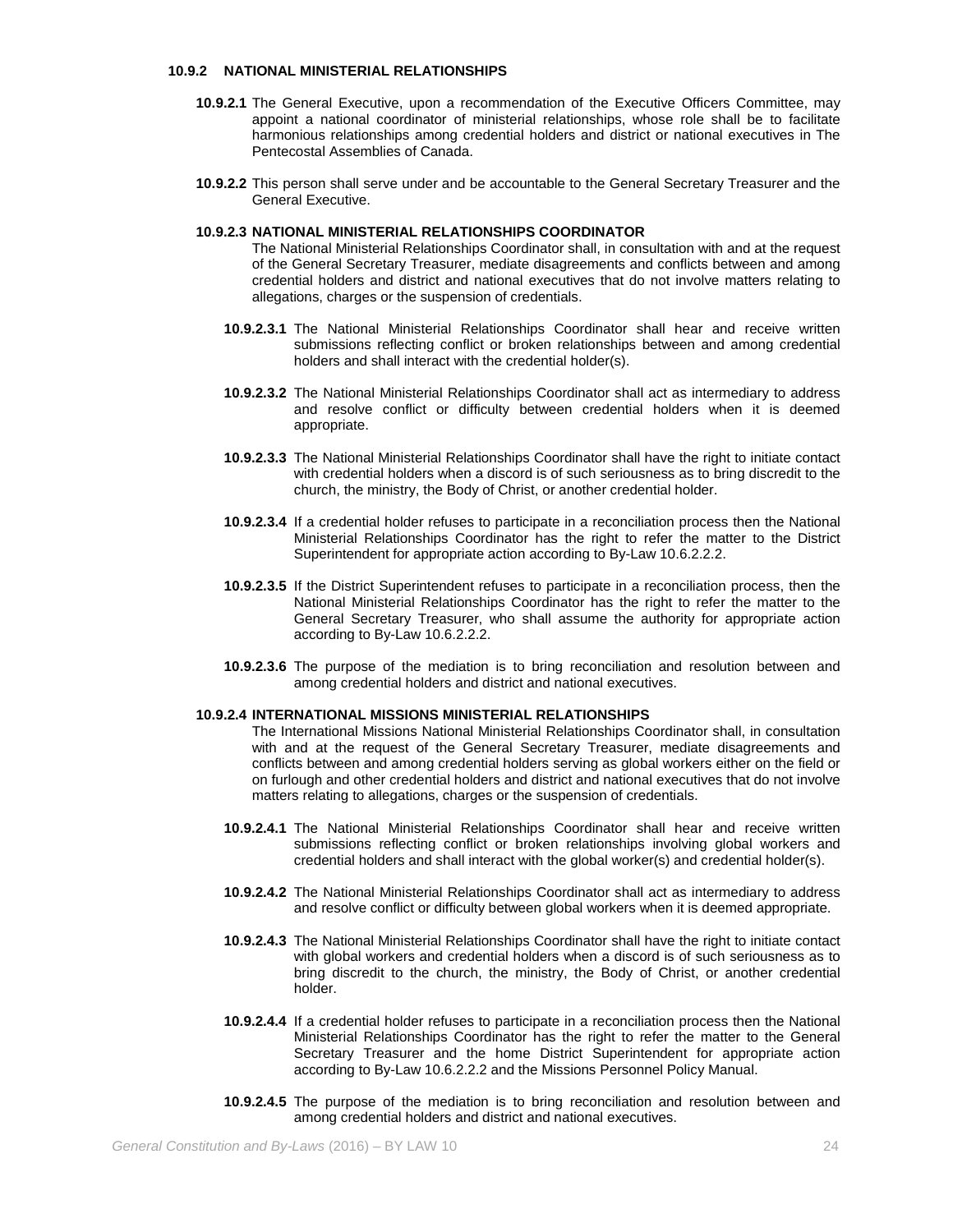### **10.9.2 NATIONAL MINISTERIAL RELATIONSHIPS**

- **10.9.2.1** The General Executive, upon a recommendation of the Executive Officers Committee, may appoint a national coordinator of ministerial relationships, whose role shall be to facilitate harmonious relationships among credential holders and district or national executives in The Pentecostal Assemblies of Canada.
- **10.9.2.2** This person shall serve under and be accountable to the General Secretary Treasurer and the General Executive.

### **10.9.2.3 NATIONAL MINISTERIAL RELATIONSHIPS COORDINATOR**

The National Ministerial Relationships Coordinator shall, in consultation with and at the request of the General Secretary Treasurer, mediate disagreements and conflicts between and among credential holders and district and national executives that do not involve matters relating to allegations, charges or the suspension of credentials.

- **10.9.2.3.1** The National Ministerial Relationships Coordinator shall hear and receive written submissions reflecting conflict or broken relationships between and among credential holders and shall interact with the credential holder(s).
- **10.9.2.3.2** The National Ministerial Relationships Coordinator shall act as intermediary to address and resolve conflict or difficulty between credential holders when it is deemed appropriate.
- **10.9.2.3.3** The National Ministerial Relationships Coordinator shall have the right to initiate contact with credential holders when a discord is of such seriousness as to bring discredit to the church, the ministry, the Body of Christ, or another credential holder.
- **10.9.2.3.4** If a credential holder refuses to participate in a reconciliation process then the National Ministerial Relationships Coordinator has the right to refer the matter to the District Superintendent for appropriate action according to By-Law 10.6.2.2.2.
- **10.9.2.3.5** If the District Superintendent refuses to participate in a reconciliation process, then the National Ministerial Relationships Coordinator has the right to refer the matter to the General Secretary Treasurer, who shall assume the authority for appropriate action according to By-Law 10.6.2.2.2.
- **10.9.2.3.6** The purpose of the mediation is to bring reconciliation and resolution between and among credential holders and district and national executives.

#### **10.9.2.4 INTERNATIONAL MISSIONS MINISTERIAL RELATIONSHIPS**

- The International Missions National Ministerial Relationships Coordinator shall, in consultation with and at the request of the General Secretary Treasurer, mediate disagreements and conflicts between and among credential holders serving as global workers either on the field or on furlough and other credential holders and district and national executives that do not involve matters relating to allegations, charges or the suspension of credentials.
- **10.9.2.4.1** The National Ministerial Relationships Coordinator shall hear and receive written submissions reflecting conflict or broken relationships involving global workers and credential holders and shall interact with the global worker(s) and credential holder(s).
- **10.9.2.4.2** The National Ministerial Relationships Coordinator shall act as intermediary to address and resolve conflict or difficulty between global workers when it is deemed appropriate.
- **10.9.2.4.3** The National Ministerial Relationships Coordinator shall have the right to initiate contact with global workers and credential holders when a discord is of such seriousness as to bring discredit to the church, the ministry, the Body of Christ, or another credential holder.
- **10.9.2.4.4** If a credential holder refuses to participate in a reconciliation process then the National Ministerial Relationships Coordinator has the right to refer the matter to the General Secretary Treasurer and the home District Superintendent for appropriate action according to By-Law 10.6.2.2.2 and the Missions Personnel Policy Manual.
- **10.9.2.4.5** The purpose of the mediation is to bring reconciliation and resolution between and among credential holders and district and national executives.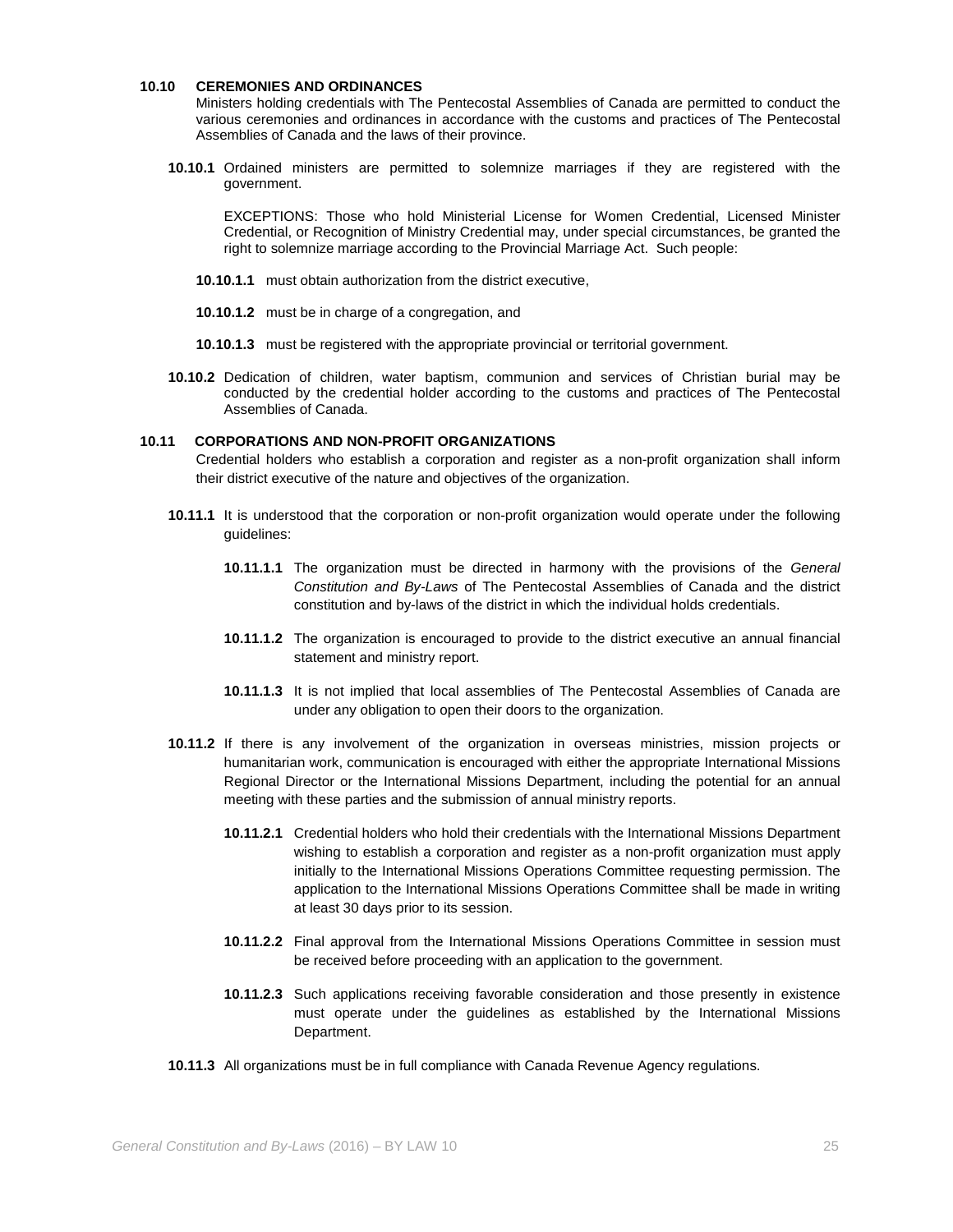# **10.10 CEREMONIES AND ORDINANCES**

Ministers holding credentials with The Pentecostal Assemblies of Canada are permitted to conduct the various ceremonies and ordinances in accordance with the customs and practices of The Pentecostal Assemblies of Canada and the laws of their province.

**10.10.1** Ordained ministers are permitted to solemnize marriages if they are registered with the government.

EXCEPTIONS: Those who hold Ministerial License for Women Credential, Licensed Minister Credential, or Recognition of Ministry Credential may, under special circumstances, be granted the right to solemnize marriage according to the Provincial Marriage Act. Such people:

- **10.10.1.1** must obtain authorization from the district executive,
- **10.10.1.2** must be in charge of a congregation, and
- **10.10.1.3** must be registered with the appropriate provincial or territorial government.
- **10.10.2** Dedication of children, water baptism, communion and services of Christian burial may be conducted by the credential holder according to the customs and practices of The Pentecostal Assemblies of Canada.

# **10.11 CORPORATIONS AND NON-PROFIT ORGANIZATIONS**

Credential holders who establish a corporation and register as a non-profit organization shall inform their district executive of the nature and objectives of the organization.

- **10.11.1** It is understood that the corporation or non-profit organization would operate under the following guidelines:
	- **10.11.1.1** The organization must be directed in harmony with the provisions of the *General Constitution and By-Laws* of The Pentecostal Assemblies of Canada and the district constitution and by-laws of the district in which the individual holds credentials.
	- **10.11.1.2** The organization is encouraged to provide to the district executive an annual financial statement and ministry report.
	- **10.11.1.3** It is not implied that local assemblies of The Pentecostal Assemblies of Canada are under any obligation to open their doors to the organization.
- **10.11.2** If there is any involvement of the organization in overseas ministries, mission projects or humanitarian work, communication is encouraged with either the appropriate International Missions Regional Director or the International Missions Department, including the potential for an annual meeting with these parties and the submission of annual ministry reports.
	- **10.11.2.1** Credential holders who hold their credentials with the International Missions Department wishing to establish a corporation and register as a non-profit organization must apply initially to the International Missions Operations Committee requesting permission. The application to the International Missions Operations Committee shall be made in writing at least 30 days prior to its session.
	- **10.11.2.2** Final approval from the International Missions Operations Committee in session must be received before proceeding with an application to the government.
	- **10.11.2.3** Such applications receiving favorable consideration and those presently in existence must operate under the guidelines as established by the International Missions Department.
- **10.11.3** All organizations must be in full compliance with Canada Revenue Agency regulations.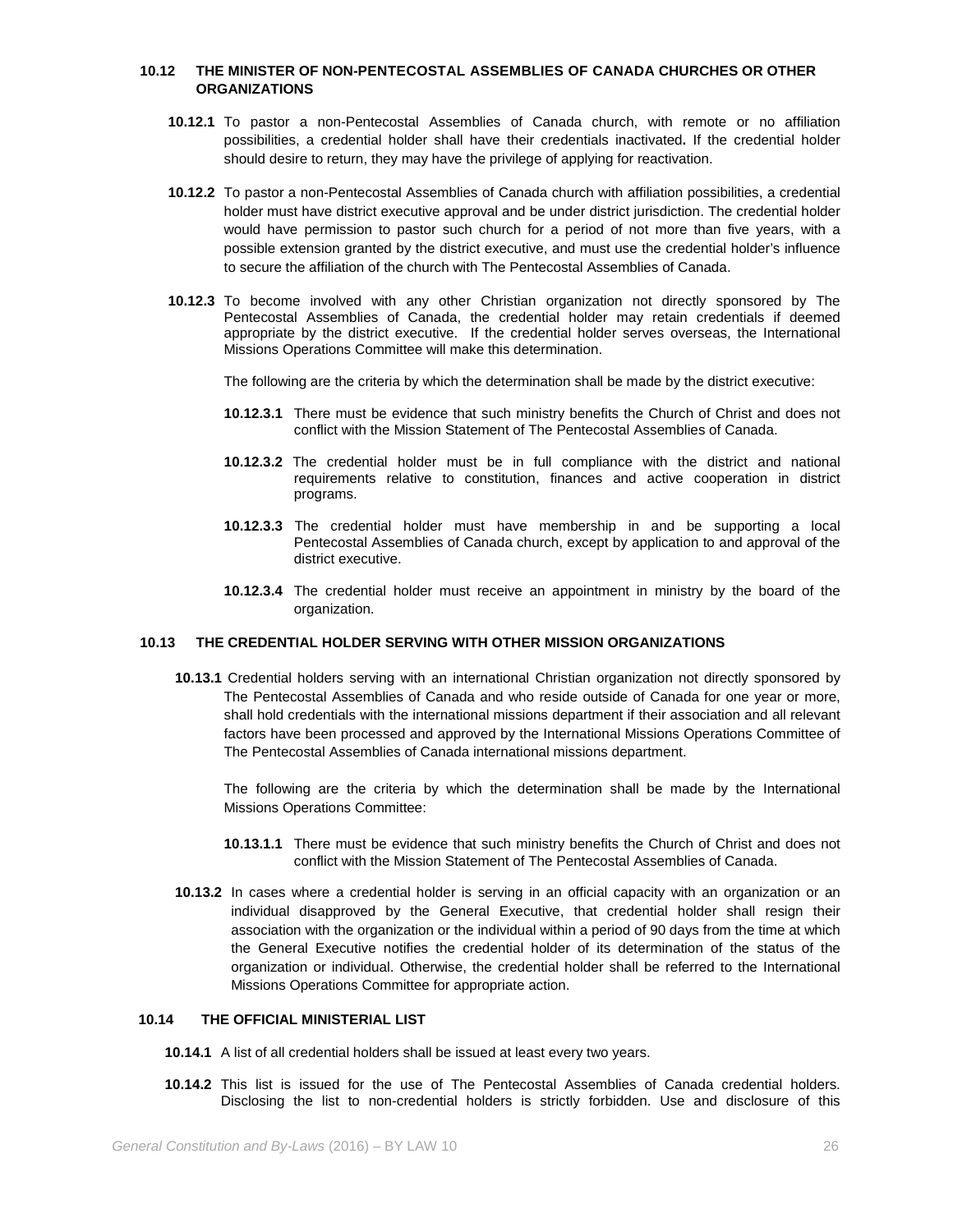# **10.12 THE MINISTER OF NON-PENTECOSTAL ASSEMBLIES OF CANADA CHURCHES OR OTHER ORGANIZATIONS**

- **10.12.1** To pastor a non-Pentecostal Assemblies of Canada church, with remote or no affiliation possibilities, a credential holder shall have their credentials inactivated**.** If the credential holder should desire to return, they may have the privilege of applying for reactivation.
- **10.12.2** To pastor a non-Pentecostal Assemblies of Canada church with affiliation possibilities, a credential holder must have district executive approval and be under district jurisdiction. The credential holder would have permission to pastor such church for a period of not more than five years, with a possible extension granted by the district executive, and must use the credential holder's influence to secure the affiliation of the church with The Pentecostal Assemblies of Canada.
- **10.12.3** To become involved with any other Christian organization not directly sponsored by The Pentecostal Assemblies of Canada, the credential holder may retain credentials if deemed appropriate by the district executive. If the credential holder serves overseas, the International Missions Operations Committee will make this determination.

The following are the criteria by which the determination shall be made by the district executive:

- **10.12.3.1** There must be evidence that such ministry benefits the Church of Christ and does not conflict with the Mission Statement of The Pentecostal Assemblies of Canada.
- **10.12.3.2** The credential holder must be in full compliance with the district and national requirements relative to constitution, finances and active cooperation in district programs.
- **10.12.3.3** The credential holder must have membership in and be supporting a local Pentecostal Assemblies of Canada church, except by application to and approval of the district executive.
- **10.12.3.4** The credential holder must receive an appointment in ministry by the board of the organization.

### **10.13 THE CREDENTIAL HOLDER SERVING WITH OTHER MISSION ORGANIZATIONS**

**10.13.1** Credential holders serving with an international Christian organization not directly sponsored by The Pentecostal Assemblies of Canada and who reside outside of Canada for one year or more, shall hold credentials with the international missions department if their association and all relevant factors have been processed and approved by the International Missions Operations Committee of The Pentecostal Assemblies of Canada international missions department.

The following are the criteria by which the determination shall be made by the International Missions Operations Committee:

- **10.13.1.1** There must be evidence that such ministry benefits the Church of Christ and does not conflict with the Mission Statement of The Pentecostal Assemblies of Canada.
- **10.13.2** In cases where a credential holder is serving in an official capacity with an organization or an individual disapproved by the General Executive, that credential holder shall resign their association with the organization or the individual within a period of 90 days from the time at which the General Executive notifies the credential holder of its determination of the status of the organization or individual. Otherwise, the credential holder shall be referred to the International Missions Operations Committee for appropriate action.

# **10.14 THE OFFICIAL MINISTERIAL LIST**

- **10.14.1** A list of all credential holders shall be issued at least every two years.
- **10.14.2** This list is issued for the use of The Pentecostal Assemblies of Canada credential holders. Disclosing the list to non-credential holders is strictly forbidden. Use and disclosure of this